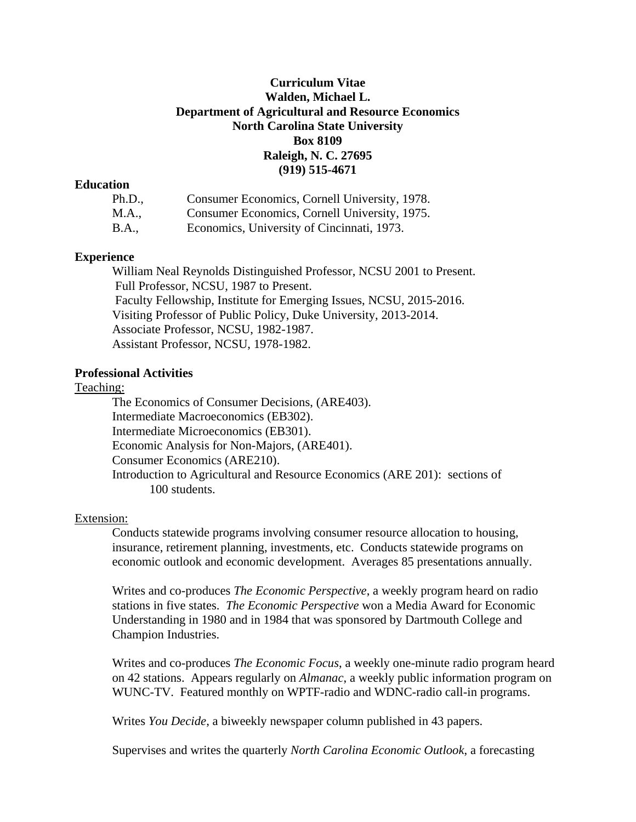# **Curriculum Vitae Walden, Michael L. Department of Agricultural and Resource Economics North Carolina State University Box 8109 Raleigh, N. C. 27695 (919) 515-4671**

### **Education**

| Ph.D., | Consumer Economics, Cornell University, 1978. |
|--------|-----------------------------------------------|
| M.A.,  | Consumer Economics, Cornell University, 1975. |
| B.A.,  | Economics, University of Cincinnati, 1973.    |

## **Experience**

William Neal Reynolds Distinguished Professor, NCSU 2001 to Present. Full Professor, NCSU, 1987 to Present. Faculty Fellowship, Institute for Emerging Issues, NCSU, 2015-2016. Visiting Professor of Public Policy, Duke University, 2013-2014. Associate Professor, NCSU, 1982-1987. Assistant Professor, NCSU, 1978-1982.

### **Professional Activities**

### Teaching:

The Economics of Consumer Decisions, (ARE403). Intermediate Macroeconomics (EB302). Intermediate Microeconomics (EB301). Economic Analysis for Non-Majors, (ARE401). Consumer Economics (ARE210). Introduction to Agricultural and Resource Economics (ARE 201): sections of 100 students.

#### Extension:

Conducts statewide programs involving consumer resource allocation to housing, insurance, retirement planning, investments, etc. Conducts statewide programs on economic outlook and economic development. Averages 85 presentations annually.

Writes and co-produces *The Economic Perspective*, a weekly program heard on radio stations in five states. *The Economic Perspective* won a Media Award for Economic Understanding in 1980 and in 1984 that was sponsored by Dartmouth College and Champion Industries.

Writes and co-produces *The Economic Focus*, a weekly one-minute radio program heard on 42 stations. Appears regularly on *Almanac*, a weekly public information program on WUNC-TV. Featured monthly on WPTF-radio and WDNC-radio call-in programs.

Writes *You Decide*, a biweekly newspaper column published in 43 papers.

Supervises and writes the quarterly *North Carolina Economic Outlook*, a forecasting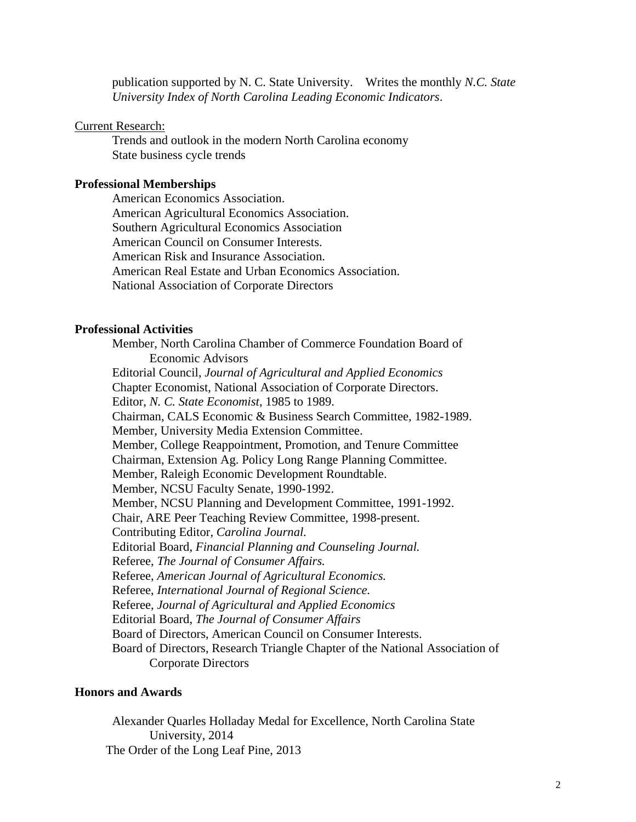publication supported by N. C. State University. Writes the monthly *N.C. State University Index of North Carolina Leading Economic Indicators*.

### Current Research:

Trends and outlook in the modern North Carolina economy State business cycle trends

### **Professional Memberships**

American Economics Association. American Agricultural Economics Association. Southern Agricultural Economics Association American Council on Consumer Interests. American Risk and Insurance Association. American Real Estate and Urban Economics Association. National Association of Corporate Directors

### **Professional Activities**

Member, North Carolina Chamber of Commerce Foundation Board of Economic Advisors Editorial Council, *Journal of Agricultural and Applied Economics* Chapter Economist, National Association of Corporate Directors. Editor, *N. C. State Economist*, 1985 to 1989. Chairman, CALS Economic & Business Search Committee, 1982-1989. Member, University Media Extension Committee. Member, College Reappointment, Promotion, and Tenure Committee Chairman, Extension Ag. Policy Long Range Planning Committee. Member, Raleigh Economic Development Roundtable. Member, NCSU Faculty Senate, 1990-1992. Member, NCSU Planning and Development Committee, 1991-1992. Chair, ARE Peer Teaching Review Committee, 1998-present. Contributing Editor, *Carolina Journal.* Editorial Board, *Financial Planning and Counseling Journal.* Referee, *The Journal of Consumer Affairs.* Referee, *American Journal of Agricultural Economics.* Referee, *International Journal of Regional Science.* Referee, *Journal of Agricultural and Applied Economics* Editorial Board, *The Journal of Consumer Affairs* Board of Directors, American Council on Consumer Interests. Board of Directors, Research Triangle Chapter of the National Association of Corporate Directors

# **Honors and Awards**

Alexander Quarles Holladay Medal for Excellence, North Carolina State University, 2014 The Order of the Long Leaf Pine, 2013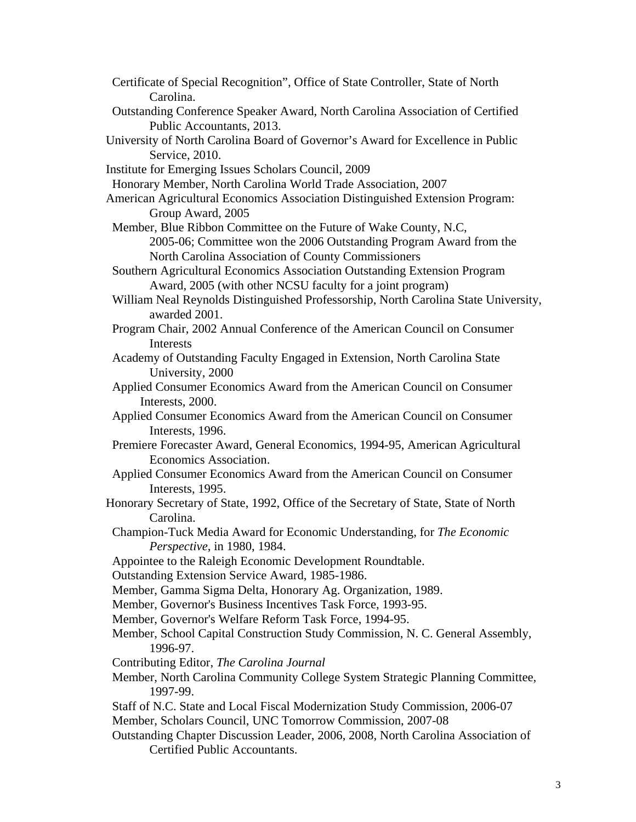- Certificate of Special Recognition", Office of State Controller, State of North Carolina.
- Outstanding Conference Speaker Award, North Carolina Association of Certified Public Accountants, 2013.
- University of North Carolina Board of Governor's Award for Excellence in Public Service, 2010.
- Institute for Emerging Issues Scholars Council, 2009
- Honorary Member, North Carolina World Trade Association, 2007
- American Agricultural Economics Association Distinguished Extension Program: Group Award, 2005
- Member, Blue Ribbon Committee on the Future of Wake County, N.C,

2005-06; Committee won the 2006 Outstanding Program Award from the North Carolina Association of County Commissioners

- Southern Agricultural Economics Association Outstanding Extension Program Award, 2005 (with other NCSU faculty for a joint program)
- William Neal Reynolds Distinguished Professorship, North Carolina State University, awarded 2001.
- Program Chair, 2002 Annual Conference of the American Council on Consumer Interests
- Academy of Outstanding Faculty Engaged in Extension, North Carolina State University, 2000
- Applied Consumer Economics Award from the American Council on Consumer Interests, 2000.
- Applied Consumer Economics Award from the American Council on Consumer Interests, 1996.
- Premiere Forecaster Award, General Economics, 1994-95, American Agricultural Economics Association.
- Applied Consumer Economics Award from the American Council on Consumer Interests, 1995.
- Honorary Secretary of State, 1992, Office of the Secretary of State, State of North Carolina.
- Champion-Tuck Media Award for Economic Understanding, for *The Economic Perspective*, in 1980, 1984.
- Appointee to the Raleigh Economic Development Roundtable.
- Outstanding Extension Service Award, 1985-1986.
- Member, Gamma Sigma Delta, Honorary Ag. Organization, 1989.
- Member, Governor's Business Incentives Task Force, 1993-95.
- Member, Governor's Welfare Reform Task Force, 1994-95.
- Member, School Capital Construction Study Commission, N. C. General Assembly, 1996-97.
- Contributing Editor, *The Carolina Journal*
- Member, North Carolina Community College System Strategic Planning Committee, 1997-99.
- Staff of N.C. State and Local Fiscal Modernization Study Commission, 2006-07 Member, Scholars Council, UNC Tomorrow Commission, 2007-08
- Outstanding Chapter Discussion Leader, 2006, 2008, North Carolina Association of Certified Public Accountants.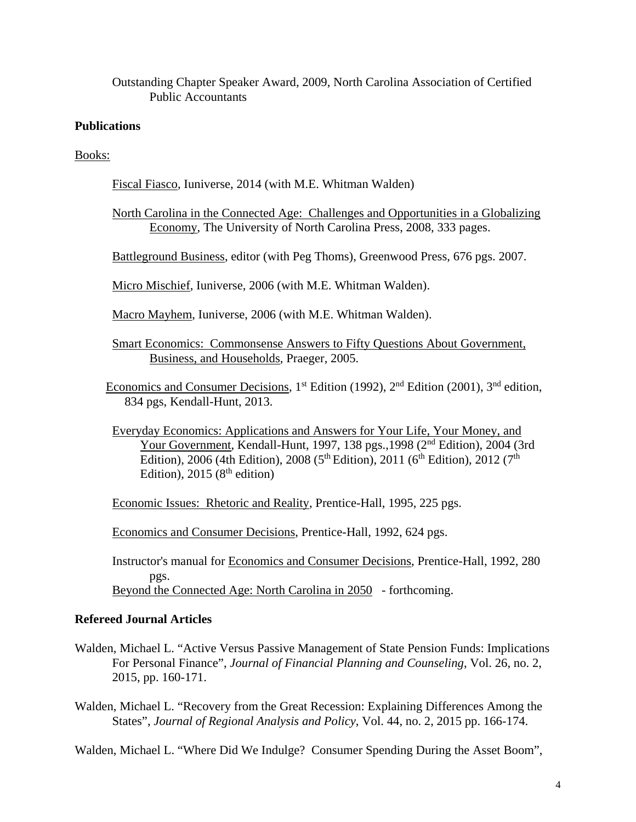Outstanding Chapter Speaker Award, 2009, North Carolina Association of Certified Public Accountants

# **Publications**

Books:

Fiscal Fiasco, Iuniverse, 2014 (with M.E. Whitman Walden)

North Carolina in the Connected Age: Challenges and Opportunities in a Globalizing Economy, The University of North Carolina Press, 2008, 333 pages.

Battleground Business, editor (with Peg Thoms), Greenwood Press, 676 pgs. 2007.

Micro Mischief, Iuniverse, 2006 (with M.E. Whitman Walden).

Macro Mayhem, Iuniverse, 2006 (with M.E. Whitman Walden).

- Smart Economics: Commonsense Answers to Fifty Questions About Government, Business, and Households, Praeger, 2005.
- Economics and Consumer Decisions, 1<sup>st</sup> Edition (1992), 2<sup>nd</sup> Edition (2001), 3<sup>nd</sup> edition, 834 pgs, Kendall-Hunt, 2013.
- Everyday Economics: Applications and Answers for Your Life, Your Money, and Your Government, Kendall-Hunt, 1997, 138 pgs., 1998 (2<sup>nd</sup> Edition), 2004 (3rd Edition), 2006 (4th Edition), 2008 (5<sup>th</sup> Edition), 2011 (6<sup>th</sup> Edition), 2012 (7<sup>th</sup> Edition),  $2015(8<sup>th</sup> edition)$
- Economic Issues: Rhetoric and Reality, Prentice-Hall, 1995, 225 pgs.

Economics and Consumer Decisions, Prentice-Hall, 1992, 624 pgs.

Instructor's manual for Economics and Consumer Decisions, Prentice-Hall, 1992, 280 pgs. Beyond the Connected Age: North Carolina in 2050 - forthcoming.

## **Refereed Journal Articles**

- Walden, Michael L. "Active Versus Passive Management of State Pension Funds: Implications For Personal Finance", *Journal of Financial Planning and Counseling*, Vol. 26, no. 2, 2015, pp. 160-171.
- Walden, Michael L. "Recovery from the Great Recession: Explaining Differences Among the States", *Journal of Regional Analysis and Policy*, Vol. 44, no. 2, 2015 pp. 166-174.

Walden, Michael L. "Where Did We Indulge? Consumer Spending During the Asset Boom",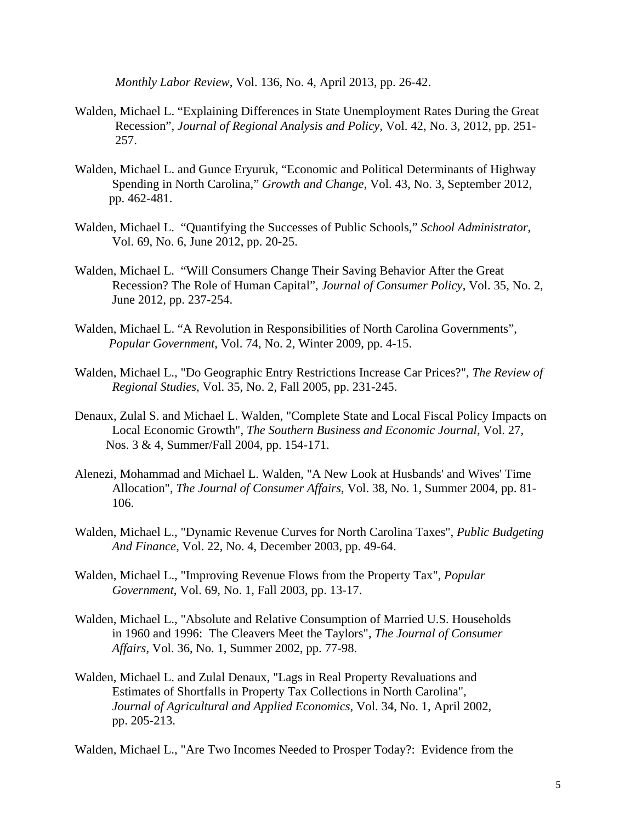*Monthly Labor Review*, Vol. 136, No. 4, April 2013, pp. 26-42.

- Walden, Michael L. "Explaining Differences in State Unemployment Rates During the Great Recession", *Journal of Regional Analysis and Policy,* Vol. 42, No. 3, 2012, pp. 251- 257.
- Walden, Michael L. and Gunce Eryuruk, "Economic and Political Determinants of Highway Spending in North Carolina," *Growth and Change*, Vol. 43, No. 3, September 2012, pp. 462-481.
- Walden, Michael L. "Quantifying the Successes of Public Schools," *School Administrator*, Vol. 69, No. 6, June 2012, pp. 20-25.
- Walden, Michael L. "Will Consumers Change Their Saving Behavior After the Great Recession? The Role of Human Capital", *Journal of Consumer Policy*, Vol. 35, No. 2, June 2012, pp. 237-254.
- Walden, Michael L. "A Revolution in Responsibilities of North Carolina Governments", *Popular Government*, Vol. 74, No. 2, Winter 2009, pp. 4-15.
- Walden, Michael L., "Do Geographic Entry Restrictions Increase Car Prices?", *The Review of Regional Studies,* Vol. 35, No. 2, Fall 2005, pp. 231-245.
- Denaux, Zulal S. and Michael L. Walden, "Complete State and Local Fiscal Policy Impacts on Local Economic Growth", *The Southern Business and Economic Journal*, Vol. 27, Nos. 3 & 4, Summer/Fall 2004, pp. 154-171.
- Alenezi, Mohammad and Michael L. Walden, "A New Look at Husbands' and Wives' Time Allocation", *The Journal of Consumer Affairs*, Vol. 38, No. 1, Summer 2004, pp. 81- 106.
- Walden, Michael L., "Dynamic Revenue Curves for North Carolina Taxes", *Public Budgeting And Finance*, Vol. 22, No. 4, December 2003, pp. 49-64.
- Walden, Michael L., "Improving Revenue Flows from the Property Tax", *Popular Government*, Vol. 69, No. 1, Fall 2003, pp. 13-17.
- Walden, Michael L., "Absolute and Relative Consumption of Married U.S. Households in 1960 and 1996: The Cleavers Meet the Taylors", *The Journal of Consumer Affairs,* Vol. 36, No. 1, Summer 2002, pp. 77-98.
- Walden, Michael L. and Zulal Denaux, "Lags in Real Property Revaluations and Estimates of Shortfalls in Property Tax Collections in North Carolina", *Journal of Agricultural and Applied Economics*, Vol. 34, No. 1, April 2002, pp. 205-213.

Walden, Michael L., "Are Two Incomes Needed to Prosper Today?: Evidence from the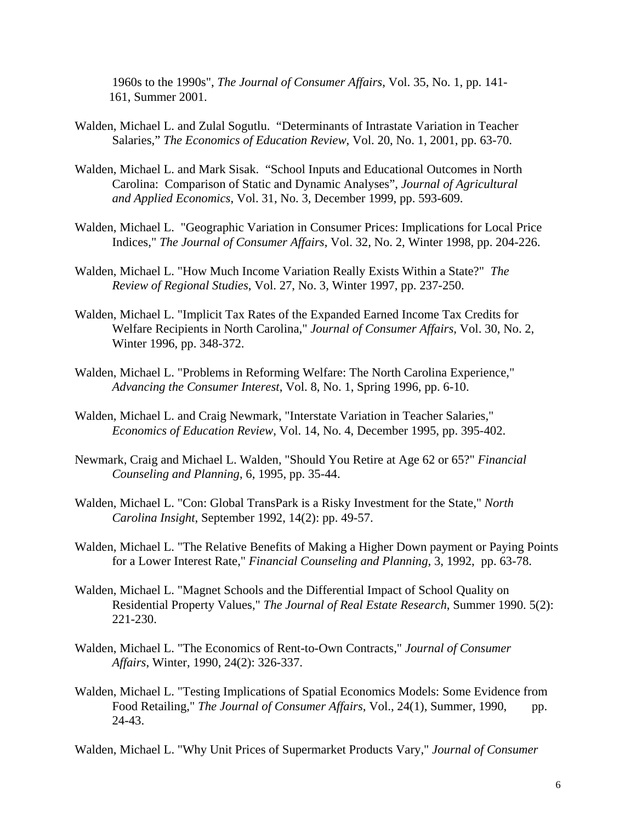1960s to the 1990s", *The Journal of Consumer Affairs*, Vol. 35, No. 1, pp. 141- 161, Summer 2001.

- Walden, Michael L. and Zulal Sogutlu. "Determinants of Intrastate Variation in Teacher Salaries," *The Economics of Education Review*, Vol. 20, No. 1, 2001, pp. 63-70.
- Walden, Michael L. and Mark Sisak. "School Inputs and Educational Outcomes in North Carolina: Comparison of Static and Dynamic Analyses", *Journal of Agricultural and Applied Economics*, Vol. 31, No. 3, December 1999, pp. 593-609.
- Walden, Michael L. "Geographic Variation in Consumer Prices: Implications for Local Price Indices," *The Journal of Consumer Affairs*, Vol. 32, No. 2, Winter 1998, pp. 204-226.
- Walden, Michael L. "How Much Income Variation Really Exists Within a State?" *The Review of Regional Studies*, Vol. 27, No. 3, Winter 1997, pp. 237-250.
- Walden, Michael L. "Implicit Tax Rates of the Expanded Earned Income Tax Credits for Welfare Recipients in North Carolina," *Journal of Consumer Affairs*, Vol. 30, No. 2, Winter 1996, pp. 348-372.
- Walden, Michael L. "Problems in Reforming Welfare: The North Carolina Experience," *Advancing the Consumer Interest*, Vol. 8, No. 1, Spring 1996, pp. 6-10.
- Walden, Michael L. and Craig Newmark, "Interstate Variation in Teacher Salaries," *Economics of Education Review*, Vol. 14, No. 4, December 1995, pp. 395-402.
- Newmark, Craig and Michael L. Walden, "Should You Retire at Age 62 or 65?" *Financial Counseling and Planning*, 6, 1995, pp. 35-44.
- Walden, Michael L. "Con: Global TransPark is a Risky Investment for the State," *North Carolina Insight*, September 1992, 14(2): pp. 49-57.
- Walden, Michael L. "The Relative Benefits of Making a Higher Down payment or Paying Points for a Lower Interest Rate," *Financial Counseling and Planning*, 3, 1992, pp. 63-78.
- Walden, Michael L. "Magnet Schools and the Differential Impact of School Quality on Residential Property Values," *The Journal of Real Estate Research*, Summer 1990. 5(2): 221-230.
- Walden, Michael L. "The Economics of Rent-to-Own Contracts," *Journal of Consumer Affairs*, Winter, 1990, 24(2): 326-337.
- Walden, Michael L. "Testing Implications of Spatial Economics Models: Some Evidence from Food Retailing," *The Journal of Consumer Affairs*, Vol., 24(1), Summer, 1990, pp. 24-43.

Walden, Michael L. "Why Unit Prices of Supermarket Products Vary," *Journal of Consumer*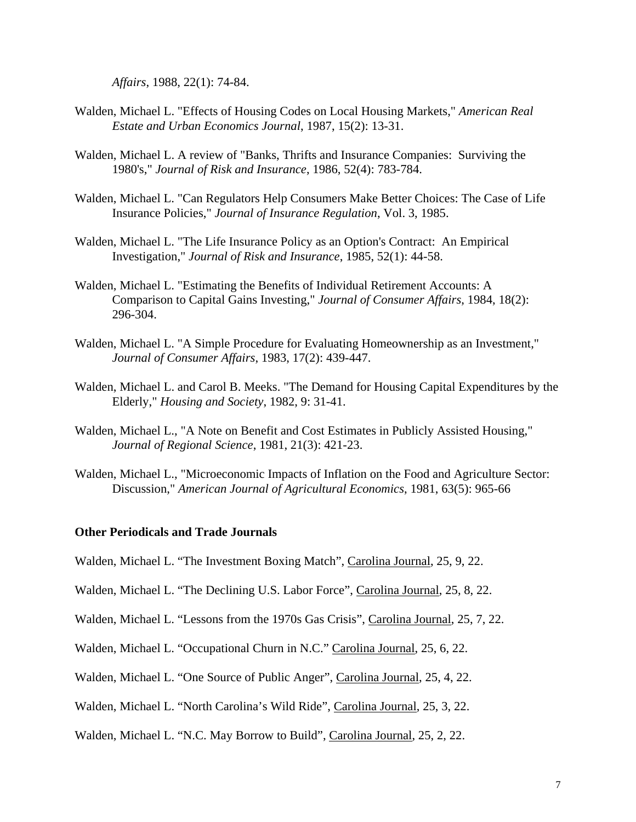*Affairs*, 1988, 22(1): 74-84.

- Walden, Michael L. "Effects of Housing Codes on Local Housing Markets," *American Real Estate and Urban Economics Journal*, 1987, 15(2): 13-31.
- Walden, Michael L. A review of "Banks, Thrifts and Insurance Companies: Surviving the 1980's," *Journal of Risk and Insurance*, 1986, 52(4): 783-784.
- Walden, Michael L. "Can Regulators Help Consumers Make Better Choices: The Case of Life Insurance Policies," *Journal of Insurance Regulation*, Vol. 3, 1985.
- Walden, Michael L. "The Life Insurance Policy as an Option's Contract: An Empirical Investigation," *Journal of Risk and Insurance*, 1985, 52(1): 44-58.
- Walden, Michael L. "Estimating the Benefits of Individual Retirement Accounts: A Comparison to Capital Gains Investing," *Journal of Consumer Affairs*, 1984, 18(2): 296-304.
- Walden, Michael L. "A Simple Procedure for Evaluating Homeownership as an Investment," *Journal of Consumer Affairs*, 1983, 17(2): 439-447.
- Walden, Michael L. and Carol B. Meeks. "The Demand for Housing Capital Expenditures by the Elderly," *Housing and Society*, 1982, 9: 31-41.
- Walden, Michael L., "A Note on Benefit and Cost Estimates in Publicly Assisted Housing," *Journal of Regional Science*, 1981, 21(3): 421-23.
- Walden, Michael L., "Microeconomic Impacts of Inflation on the Food and Agriculture Sector: Discussion," *American Journal of Agricultural Economics*, 1981, 63(5): 965-66

# **Other Periodicals and Trade Journals**

- Walden, Michael L. "The Investment Boxing Match", Carolina Journal, 25, 9, 22.
- Walden, Michael L. "The Declining U.S. Labor Force", Carolina Journal, 25, 8, 22.
- Walden, Michael L. "Lessons from the 1970s Gas Crisis", Carolina Journal, 25, 7, 22.
- Walden, Michael L. "Occupational Churn in N.C." Carolina Journal, 25, 6, 22.
- Walden, Michael L. "One Source of Public Anger", Carolina Journal, 25, 4, 22.
- Walden, Michael L. "North Carolina's Wild Ride", Carolina Journal, 25, 3, 22.
- Walden, Michael L. "N.C. May Borrow to Build", Carolina Journal, 25, 2, 22.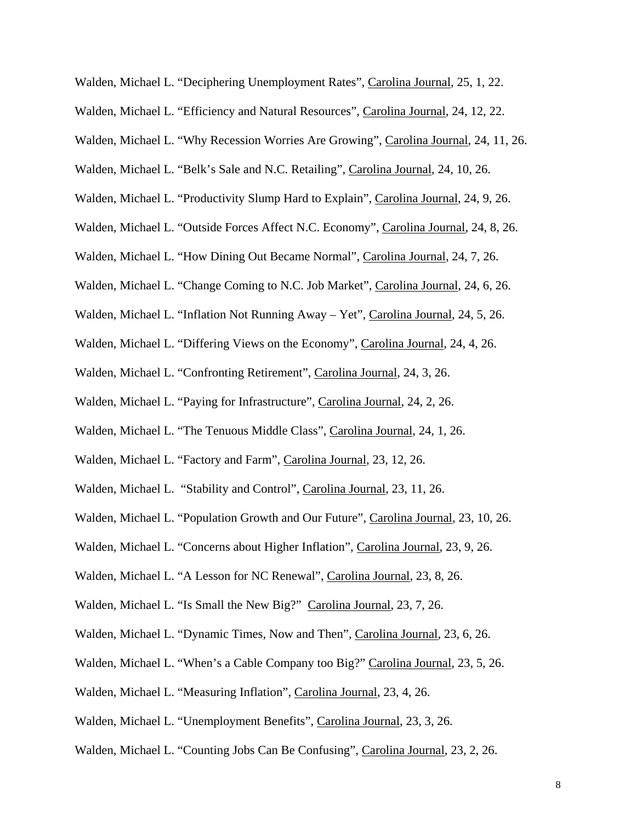Walden, Michael L. "Deciphering Unemployment Rates", Carolina Journal, 25, 1, 22.

Walden, Michael L. "Efficiency and Natural Resources", Carolina Journal, 24, 12, 22.

Walden, Michael L. "Why Recession Worries Are Growing", Carolina Journal, 24, 11, 26.

Walden, Michael L. "Belk's Sale and N.C. Retailing", Carolina Journal, 24, 10, 26.

Walden, Michael L. "Productivity Slump Hard to Explain", Carolina Journal, 24, 9, 26.

Walden, Michael L. "Outside Forces Affect N.C. Economy", Carolina Journal, 24, 8, 26.

Walden, Michael L. "How Dining Out Became Normal", Carolina Journal, 24, 7, 26.

Walden, Michael L. "Change Coming to N.C. Job Market", Carolina Journal, 24, 6, 26.

Walden, Michael L. "Inflation Not Running Away – Yet", Carolina Journal, 24, 5, 26.

Walden, Michael L. "Differing Views on the Economy", Carolina Journal, 24, 4, 26.

Walden, Michael L. "Confronting Retirement", Carolina Journal, 24, 3, 26.

Walden, Michael L. "Paying for Infrastructure", Carolina Journal, 24, 2, 26.

Walden, Michael L. "The Tenuous Middle Class", Carolina Journal, 24, 1, 26.

Walden, Michael L. "Factory and Farm", Carolina Journal, 23, 12, 26.

Walden, Michael L. "Stability and Control", Carolina Journal, 23, 11, 26.

Walden, Michael L. "Population Growth and Our Future", Carolina Journal, 23, 10, 26.

Walden, Michael L. "Concerns about Higher Inflation", Carolina Journal, 23, 9, 26.

Walden, Michael L. "A Lesson for NC Renewal", Carolina Journal, 23, 8, 26.

Walden, Michael L. "Is Small the New Big?" Carolina Journal, 23, 7, 26.

Walden, Michael L. "Dynamic Times, Now and Then", Carolina Journal, 23, 6, 26.

Walden, Michael L. "When's a Cable Company too Big?" Carolina Journal, 23, 5, 26.

Walden, Michael L. "Measuring Inflation", Carolina Journal, 23, 4, 26.

Walden, Michael L. "Unemployment Benefits", Carolina Journal, 23, 3, 26.

Walden, Michael L. "Counting Jobs Can Be Confusing", Carolina Journal, 23, 2, 26.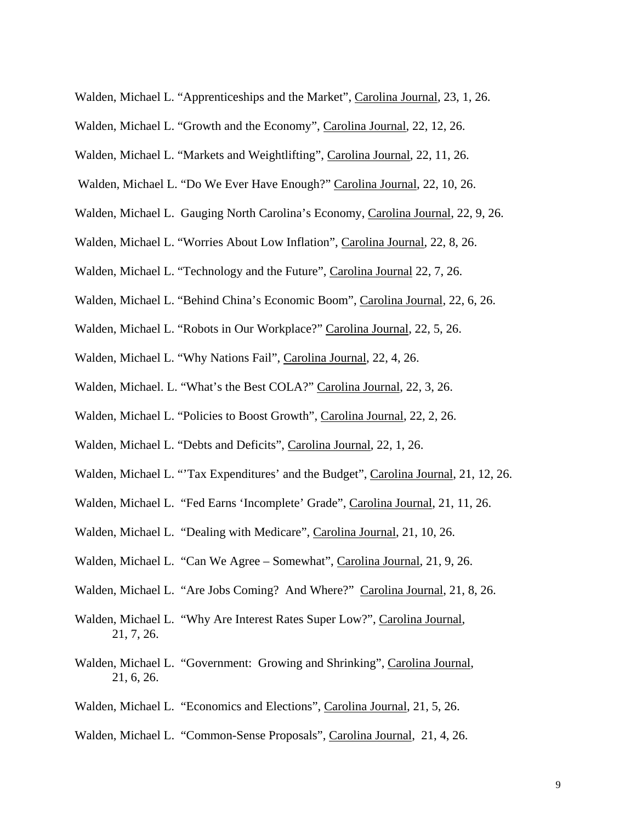- Walden, Michael L. "Apprenticeships and the Market", Carolina Journal, 23, 1, 26.
- Walden, Michael L. "Growth and the Economy", Carolina Journal, 22, 12, 26.
- Walden, Michael L. "Markets and Weightlifting", Carolina Journal, 22, 11, 26.
- Walden, Michael L. "Do We Ever Have Enough?" Carolina Journal, 22, 10, 26.
- Walden, Michael L. Gauging North Carolina's Economy, Carolina Journal, 22, 9, 26.
- Walden, Michael L. "Worries About Low Inflation", Carolina Journal, 22, 8, 26.
- Walden, Michael L. "Technology and the Future", Carolina Journal 22, 7, 26.
- Walden, Michael L. "Behind China's Economic Boom", Carolina Journal, 22, 6, 26.
- Walden, Michael L. "Robots in Our Workplace?" Carolina Journal, 22, 5, 26.
- Walden, Michael L. "Why Nations Fail", Carolina Journal, 22, 4, 26.
- Walden, Michael. L. "What's the Best COLA?" Carolina Journal, 22, 3, 26.
- Walden, Michael L. "Policies to Boost Growth", Carolina Journal, 22, 2, 26.
- Walden, Michael L. "Debts and Deficits", Carolina Journal, 22, 1, 26.
- Walden, Michael L. "'Tax Expenditures' and the Budget", Carolina Journal, 21, 12, 26.
- Walden, Michael L. "Fed Earns 'Incomplete' Grade", Carolina Journal, 21, 11, 26.
- Walden, Michael L. "Dealing with Medicare", Carolina Journal, 21, 10, 26.
- Walden, Michael L. "Can We Agree Somewhat", Carolina Journal, 21, 9, 26.
- Walden, Michael L. "Are Jobs Coming? And Where?" Carolina Journal, 21, 8, 26.
- Walden, Michael L. "Why Are Interest Rates Super Low?", Carolina Journal, 21, 7, 26.
- Walden, Michael L. "Government: Growing and Shrinking", Carolina Journal, 21, 6, 26.
- Walden, Michael L. "Economics and Elections", Carolina Journal, 21, 5, 26.
- Walden, Michael L. "Common-Sense Proposals", Carolina Journal, 21, 4, 26.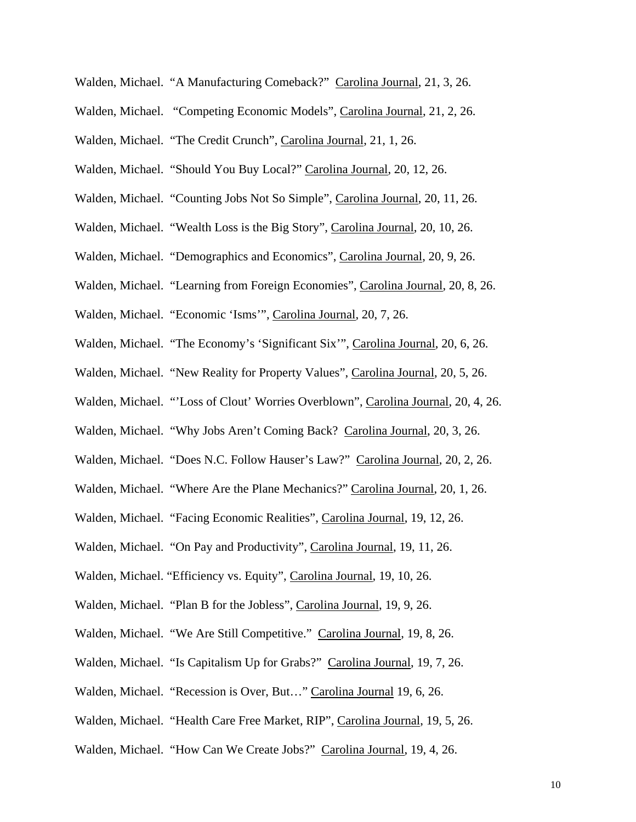- Walden, Michael. "A Manufacturing Comeback?" Carolina Journal, 21, 3, 26.
- Walden, Michael. "Competing Economic Models", Carolina Journal, 21, 2, 26.
- Walden, Michael. "The Credit Crunch", Carolina Journal, 21, 1, 26.
- Walden, Michael. "Should You Buy Local?" Carolina Journal, 20, 12, 26.
- Walden, Michael. "Counting Jobs Not So Simple", Carolina Journal, 20, 11, 26.
- Walden, Michael. "Wealth Loss is the Big Story", Carolina Journal, 20, 10, 26.
- Walden, Michael. "Demographics and Economics", Carolina Journal, 20, 9, 26.
- Walden, Michael. "Learning from Foreign Economies", Carolina Journal, 20, 8, 26.
- Walden, Michael. "Economic 'Isms'", Carolina Journal, 20, 7, 26.
- Walden, Michael. "The Economy's 'Significant Six'", Carolina Journal, 20, 6, 26.
- Walden, Michael. "New Reality for Property Values", Carolina Journal, 20, 5, 26.
- Walden, Michael. "'Loss of Clout' Worries Overblown", Carolina Journal, 20, 4, 26.
- Walden, Michael. "Why Jobs Aren't Coming Back? Carolina Journal, 20, 3, 26.
- Walden, Michael. "Does N.C. Follow Hauser's Law?" Carolina Journal, 20, 2, 26.
- Walden, Michael. "Where Are the Plane Mechanics?" Carolina Journal, 20, 1, 26.
- Walden, Michael. "Facing Economic Realities", Carolina Journal, 19, 12, 26.
- Walden, Michael. "On Pay and Productivity", Carolina Journal, 19, 11, 26.
- Walden, Michael. "Efficiency vs. Equity", Carolina Journal, 19, 10, 26.
- Walden, Michael. "Plan B for the Jobless", Carolina Journal, 19, 9, 26.
- Walden, Michael. "We Are Still Competitive." Carolina Journal, 19, 8, 26.
- Walden, Michael. "Is Capitalism Up for Grabs?" Carolina Journal, 19, 7, 26.
- Walden, Michael. "Recession is Over, But…" Carolina Journal 19, 6, 26.
- Walden, Michael. "Health Care Free Market, RIP", Carolina Journal, 19, 5, 26.
- Walden, Michael. "How Can We Create Jobs?" Carolina Journal, 19, 4, 26.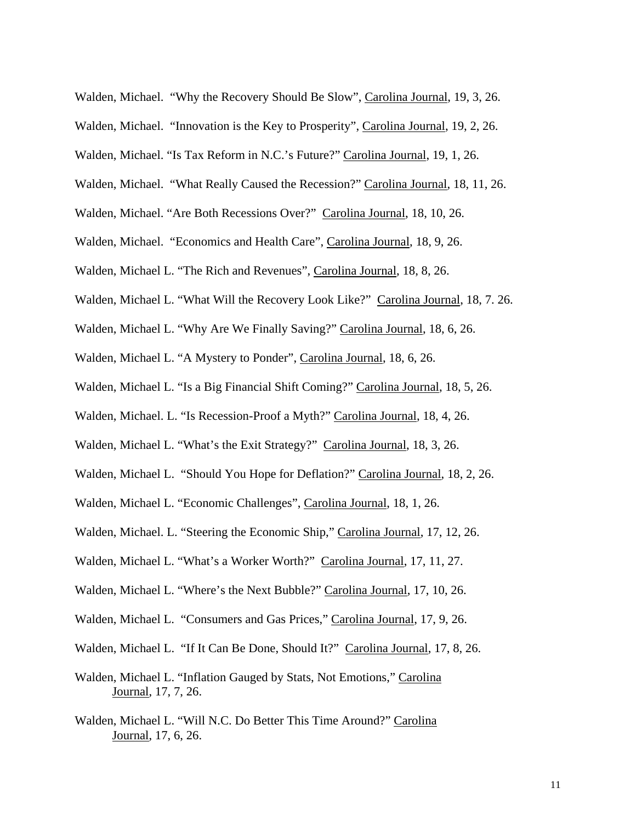Walden, Michael. "Why the Recovery Should Be Slow", Carolina Journal, 19, 3, 26.

- Walden, Michael. "Innovation is the Key to Prosperity", Carolina Journal, 19, 2, 26.
- Walden, Michael. "Is Tax Reform in N.C.'s Future?" Carolina Journal, 19, 1, 26.
- Walden, Michael. "What Really Caused the Recession?" Carolina Journal, 18, 11, 26.
- Walden, Michael. "Are Both Recessions Over?" Carolina Journal, 18, 10, 26.
- Walden, Michael. "Economics and Health Care", Carolina Journal, 18, 9, 26.
- Walden, Michael L. "The Rich and Revenues", Carolina Journal, 18, 8, 26.
- Walden, Michael L. "What Will the Recovery Look Like?" Carolina Journal, 18, 7. 26.
- Walden, Michael L. "Why Are We Finally Saving?" Carolina Journal, 18, 6, 26.
- Walden, Michael L. "A Mystery to Ponder", Carolina Journal, 18, 6, 26.
- Walden, Michael L. "Is a Big Financial Shift Coming?" Carolina Journal, 18, 5, 26.
- Walden, Michael. L. "Is Recession-Proof a Myth?" Carolina Journal, 18, 4, 26.
- Walden, Michael L. "What's the Exit Strategy?" Carolina Journal, 18, 3, 26.
- Walden, Michael L. "Should You Hope for Deflation?" Carolina Journal, 18, 2, 26.
- Walden, Michael L. "Economic Challenges", Carolina Journal, 18, 1, 26.
- Walden, Michael. L. "Steering the Economic Ship," Carolina Journal, 17, 12, 26.
- Walden, Michael L. "What's a Worker Worth?" Carolina Journal, 17, 11, 27.
- Walden, Michael L. "Where's the Next Bubble?" Carolina Journal, 17, 10, 26.
- Walden, Michael L. "Consumers and Gas Prices," Carolina Journal, 17, 9, 26.
- Walden, Michael L. "If It Can Be Done, Should It?" Carolina Journal, 17, 8, 26.
- Walden, Michael L. "Inflation Gauged by Stats, Not Emotions," Carolina Journal, 17, 7, 26.
- Walden, Michael L. "Will N.C. Do Better This Time Around?" Carolina Journal, 17, 6, 26.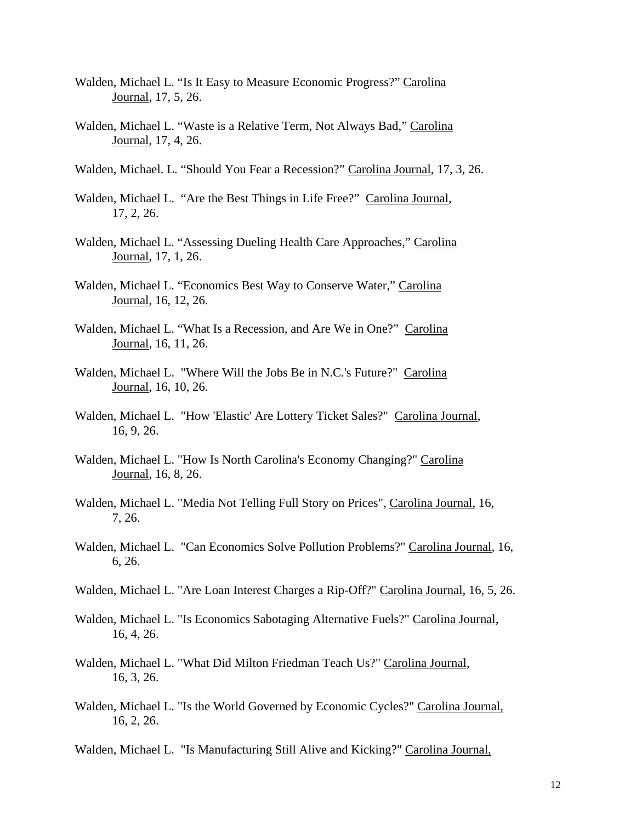- Walden, Michael L. "Is It Easy to Measure Economic Progress?" Carolina Journal, 17, 5, 26.
- Walden, Michael L. "Waste is a Relative Term, Not Always Bad," Carolina Journal, 17, 4, 26.
- Walden, Michael. L. "Should You Fear a Recession?" Carolina Journal, 17, 3, 26.
- Walden, Michael L. "Are the Best Things in Life Free?" Carolina Journal, 17, 2, 26.
- Walden, Michael L. "Assessing Dueling Health Care Approaches," Carolina Journal, 17, 1, 26.
- Walden, Michael L. "Economics Best Way to Conserve Water," Carolina Journal, 16, 12, 26.
- Walden, Michael L. "What Is a Recession, and Are We in One?" Carolina Journal, 16, 11, 26.
- Walden, Michael L. "Where Will the Jobs Be in N.C.'s Future?" Carolina Journal, 16, 10, 26.
- Walden, Michael L. "How 'Elastic' Are Lottery Ticket Sales?" Carolina Journal, 16, 9, 26.
- Walden, Michael L. "How Is North Carolina's Economy Changing?" Carolina Journal, 16, 8, 26.
- Walden, Michael L. "Media Not Telling Full Story on Prices", Carolina Journal, 16, 7, 26.
- Walden, Michael L. "Can Economics Solve Pollution Problems?" Carolina Journal, 16, 6, 26.
- Walden, Michael L. "Are Loan Interest Charges a Rip-Off?" Carolina Journal, 16, 5, 26.
- Walden, Michael L. "Is Economics Sabotaging Alternative Fuels?" Carolina Journal, 16, 4, 26.
- Walden, Michael L. "What Did Milton Friedman Teach Us?" Carolina Journal, 16, 3, 26.
- Walden, Michael L. "Is the World Governed by Economic Cycles?" Carolina Journal, 16, 2, 26.

Walden, Michael L. "Is Manufacturing Still Alive and Kicking?" Carolina Journal,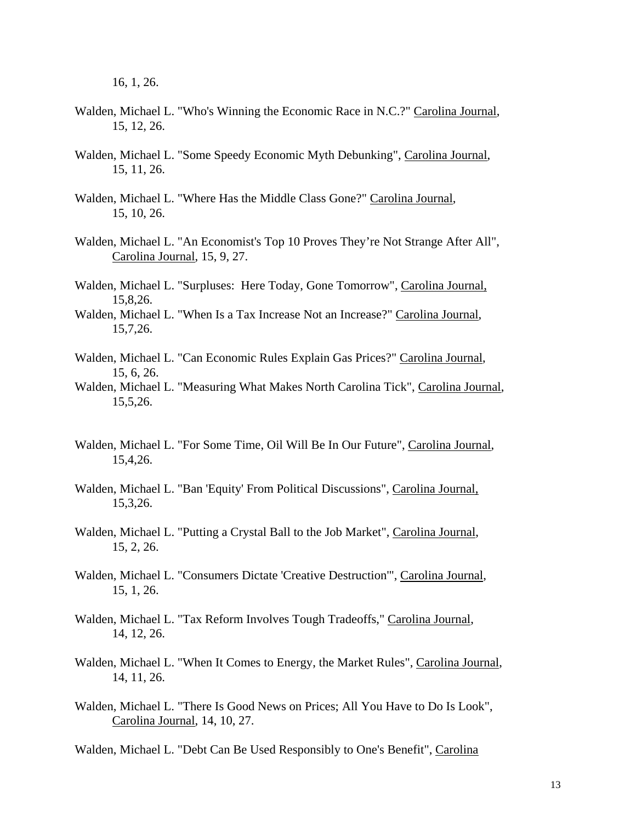16, 1, 26.

- Walden, Michael L. "Who's Winning the Economic Race in N.C.?" Carolina Journal, 15, 12, 26.
- Walden, Michael L. "Some Speedy Economic Myth Debunking", Carolina Journal, 15, 11, 26.
- Walden, Michael L. "Where Has the Middle Class Gone?" Carolina Journal, 15, 10, 26.
- Walden, Michael L. "An Economist's Top 10 Proves They're Not Strange After All", Carolina Journal, 15, 9, 27.
- Walden, Michael L. "Surpluses: Here Today, Gone Tomorrow", Carolina Journal, 15,8,26.
- Walden, Michael L. "When Is a Tax Increase Not an Increase?" Carolina Journal, 15,7,26.
- Walden, Michael L. "Can Economic Rules Explain Gas Prices?" Carolina Journal, 15, 6, 26.
- Walden, Michael L. "Measuring What Makes North Carolina Tick", Carolina Journal, 15,5,26.
- Walden, Michael L. "For Some Time, Oil Will Be In Our Future", Carolina Journal, 15,4,26.
- Walden, Michael L. "Ban 'Equity' From Political Discussions", Carolina Journal, 15,3,26.
- Walden, Michael L. "Putting a Crystal Ball to the Job Market", Carolina Journal, 15, 2, 26.
- Walden, Michael L. "Consumers Dictate 'Creative Destruction'", Carolina Journal, 15, 1, 26.
- Walden, Michael L. "Tax Reform Involves Tough Tradeoffs," Carolina Journal, 14, 12, 26.
- Walden, Michael L. "When It Comes to Energy, the Market Rules", Carolina Journal, 14, 11, 26.
- Walden, Michael L. "There Is Good News on Prices; All You Have to Do Is Look", Carolina Journal, 14, 10, 27.

Walden, Michael L. "Debt Can Be Used Responsibly to One's Benefit", Carolina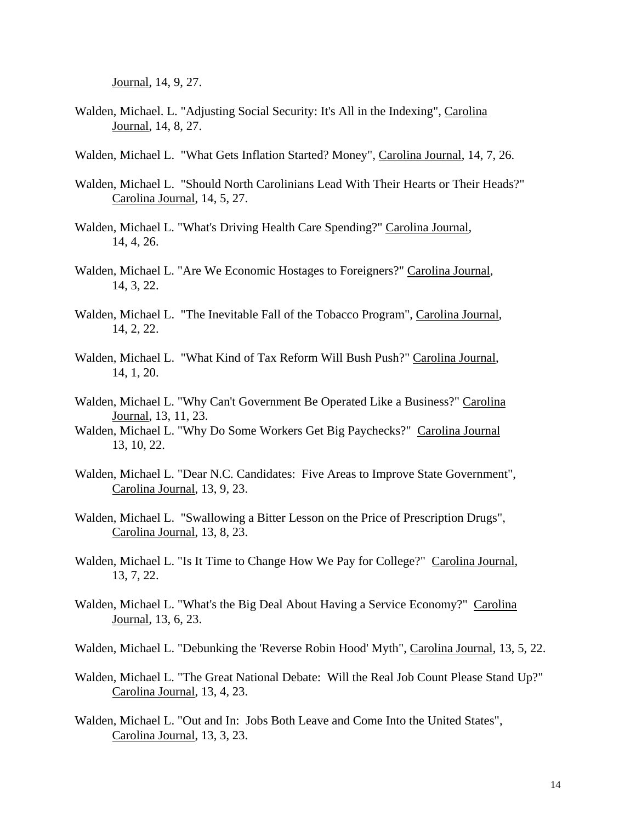Journal, 14, 9, 27.

- Walden, Michael. L. "Adjusting Social Security: It's All in the Indexing", Carolina Journal, 14, 8, 27.
- Walden, Michael L. "What Gets Inflation Started? Money", Carolina Journal, 14, 7, 26.
- Walden, Michael L. "Should North Carolinians Lead With Their Hearts or Their Heads?" Carolina Journal, 14, 5, 27.
- Walden, Michael L. "What's Driving Health Care Spending?" Carolina Journal, 14, 4, 26.
- Walden, Michael L. "Are We Economic Hostages to Foreigners?" Carolina Journal, 14, 3, 22.
- Walden, Michael L. "The Inevitable Fall of the Tobacco Program", Carolina Journal, 14, 2, 22.
- Walden, Michael L. "What Kind of Tax Reform Will Bush Push?" Carolina Journal, 14, 1, 20.
- Walden, Michael L. "Why Can't Government Be Operated Like a Business?" Carolina Journal, 13, 11, 23.
- Walden, Michael L. "Why Do Some Workers Get Big Paychecks?" Carolina Journal 13, 10, 22.
- Walden, Michael L. "Dear N.C. Candidates: Five Areas to Improve State Government", Carolina Journal, 13, 9, 23.
- Walden, Michael L. "Swallowing a Bitter Lesson on the Price of Prescription Drugs", Carolina Journal, 13, 8, 23.
- Walden, Michael L. "Is It Time to Change How We Pay for College?" Carolina Journal, 13, 7, 22.
- Walden, Michael L. "What's the Big Deal About Having a Service Economy?" Carolina Journal, 13, 6, 23.
- Walden, Michael L. "Debunking the 'Reverse Robin Hood' Myth", Carolina Journal, 13, 5, 22.
- Walden, Michael L. "The Great National Debate: Will the Real Job Count Please Stand Up?" Carolina Journal, 13, 4, 23.
- Walden, Michael L. "Out and In: Jobs Both Leave and Come Into the United States", Carolina Journal, 13, 3, 23.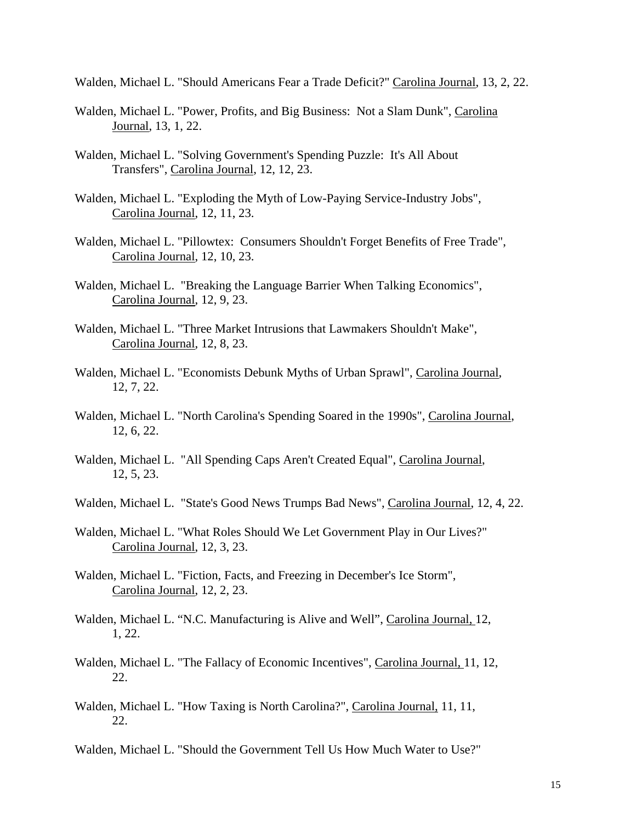Walden, Michael L. "Should Americans Fear a Trade Deficit?" Carolina Journal, 13, 2, 22.

- Walden, Michael L. "Power, Profits, and Big Business: Not a Slam Dunk", Carolina Journal, 13, 1, 22.
- Walden, Michael L. "Solving Government's Spending Puzzle: It's All About Transfers", Carolina Journal, 12, 12, 23.
- Walden, Michael L. "Exploding the Myth of Low-Paying Service-Industry Jobs", Carolina Journal, 12, 11, 23.
- Walden, Michael L. "Pillowtex: Consumers Shouldn't Forget Benefits of Free Trade", Carolina Journal, 12, 10, 23.
- Walden, Michael L. "Breaking the Language Barrier When Talking Economics", Carolina Journal, 12, 9, 23.
- Walden, Michael L. "Three Market Intrusions that Lawmakers Shouldn't Make", Carolina Journal, 12, 8, 23.
- Walden, Michael L. "Economists Debunk Myths of Urban Sprawl", Carolina Journal, 12, 7, 22.
- Walden, Michael L. "North Carolina's Spending Soared in the 1990s", Carolina Journal, 12, 6, 22.
- Walden, Michael L. "All Spending Caps Aren't Created Equal", Carolina Journal, 12, 5, 23.
- Walden, Michael L. "State's Good News Trumps Bad News", Carolina Journal, 12, 4, 22.
- Walden, Michael L. "What Roles Should We Let Government Play in Our Lives?" Carolina Journal, 12, 3, 23.
- Walden, Michael L. "Fiction, Facts, and Freezing in December's Ice Storm", Carolina Journal, 12, 2, 23.
- Walden, Michael L. "N.C. Manufacturing is Alive and Well", Carolina Journal, 12, 1, 22.
- Walden, Michael L. "The Fallacy of Economic Incentives", Carolina Journal, 11, 12, 22.
- Walden, Michael L. "How Taxing is North Carolina?", Carolina Journal, 11, 11, 22.

Walden, Michael L. "Should the Government Tell Us How Much Water to Use?"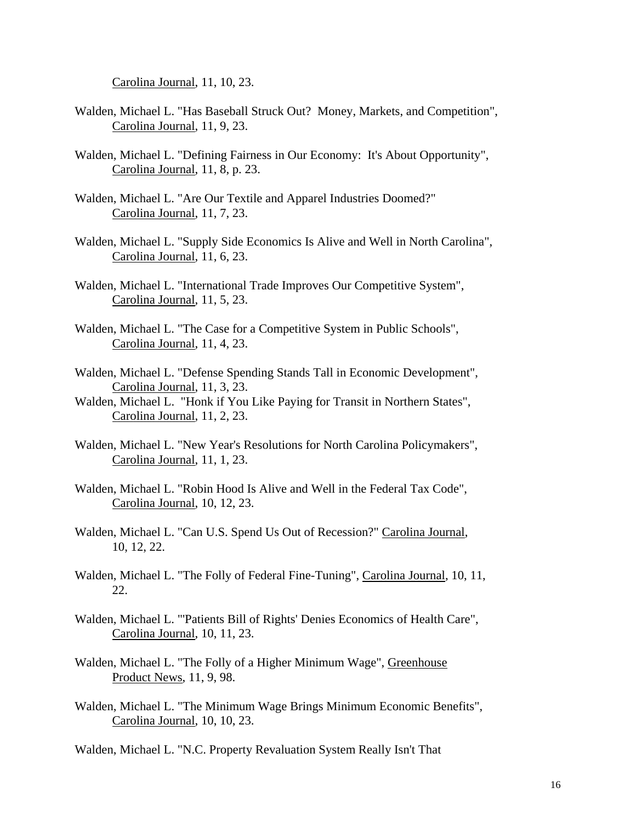Carolina Journal, 11, 10, 23.

- Walden, Michael L. "Has Baseball Struck Out? Money, Markets, and Competition", Carolina Journal, 11, 9, 23.
- Walden, Michael L. "Defining Fairness in Our Economy: It's About Opportunity", Carolina Journal, 11, 8, p. 23.
- Walden, Michael L. "Are Our Textile and Apparel Industries Doomed?" Carolina Journal, 11, 7, 23.
- Walden, Michael L. "Supply Side Economics Is Alive and Well in North Carolina", Carolina Journal, 11, 6, 23.
- Walden, Michael L. "International Trade Improves Our Competitive System", Carolina Journal, 11, 5, 23.
- Walden, Michael L. "The Case for a Competitive System in Public Schools", Carolina Journal, 11, 4, 23.
- Walden, Michael L. "Defense Spending Stands Tall in Economic Development", Carolina Journal, 11, 3, 23.
- Walden, Michael L. "Honk if You Like Paying for Transit in Northern States", Carolina Journal, 11, 2, 23.
- Walden, Michael L. "New Year's Resolutions for North Carolina Policymakers", Carolina Journal, 11, 1, 23.
- Walden, Michael L. "Robin Hood Is Alive and Well in the Federal Tax Code", Carolina Journal, 10, 12, 23.
- Walden, Michael L. "Can U.S. Spend Us Out of Recession?" Carolina Journal, 10, 12, 22.
- Walden, Michael L. "The Folly of Federal Fine-Tuning", Carolina Journal, 10, 11, 22.
- Walden, Michael L. "'Patients Bill of Rights' Denies Economics of Health Care", Carolina Journal, 10, 11, 23.
- Walden, Michael L. "The Folly of a Higher Minimum Wage", Greenhouse Product News, 11, 9, 98.
- Walden, Michael L. "The Minimum Wage Brings Minimum Economic Benefits", Carolina Journal, 10, 10, 23.

Walden, Michael L. "N.C. Property Revaluation System Really Isn't That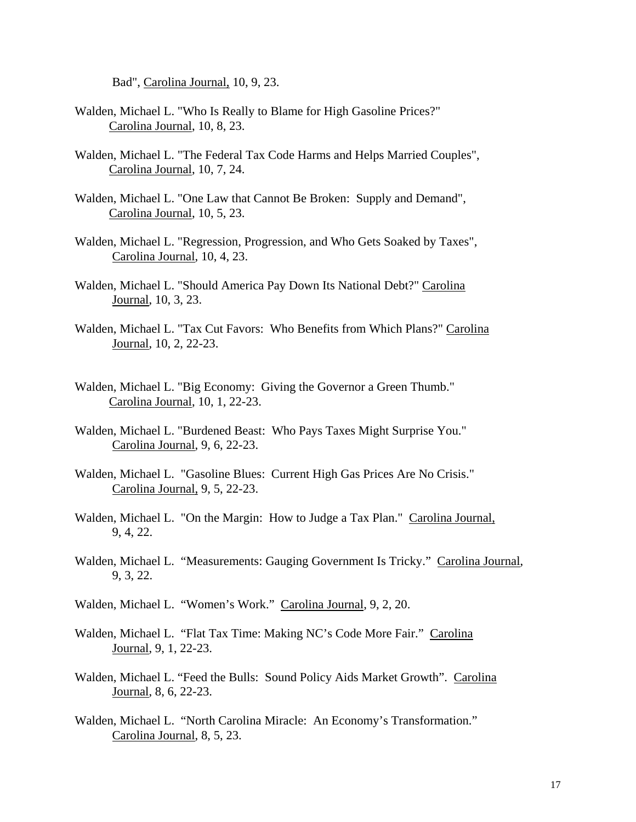Bad", Carolina Journal, 10, 9, 23.

- Walden, Michael L. "Who Is Really to Blame for High Gasoline Prices?" Carolina Journal, 10, 8, 23.
- Walden, Michael L. "The Federal Tax Code Harms and Helps Married Couples", Carolina Journal, 10, 7, 24.
- Walden, Michael L. "One Law that Cannot Be Broken: Supply and Demand", Carolina Journal, 10, 5, 23.
- Walden, Michael L. "Regression, Progression, and Who Gets Soaked by Taxes", Carolina Journal, 10, 4, 23.
- Walden, Michael L. "Should America Pay Down Its National Debt?" Carolina Journal, 10, 3, 23.
- Walden, Michael L. "Tax Cut Favors: Who Benefits from Which Plans?" Carolina Journal, 10, 2, 22-23.
- Walden, Michael L. "Big Economy: Giving the Governor a Green Thumb." Carolina Journal, 10, 1, 22-23.
- Walden, Michael L. "Burdened Beast: Who Pays Taxes Might Surprise You." Carolina Journal, 9, 6, 22-23.
- Walden, Michael L. "Gasoline Blues: Current High Gas Prices Are No Crisis." Carolina Journal, 9, 5, 22-23.
- Walden, Michael L. "On the Margin: How to Judge a Tax Plan." Carolina Journal, 9, 4, 22.
- Walden, Michael L. "Measurements: Gauging Government Is Tricky." Carolina Journal, 9, 3, 22.
- Walden, Michael L. "Women's Work." Carolina Journal, 9, 2, 20.
- Walden, Michael L. "Flat Tax Time: Making NC's Code More Fair." Carolina Journal, 9, 1, 22-23.
- Walden, Michael L. "Feed the Bulls: Sound Policy Aids Market Growth". Carolina Journal, 8, 6, 22-23.
- Walden, Michael L. "North Carolina Miracle: An Economy's Transformation." Carolina Journal, 8, 5, 23.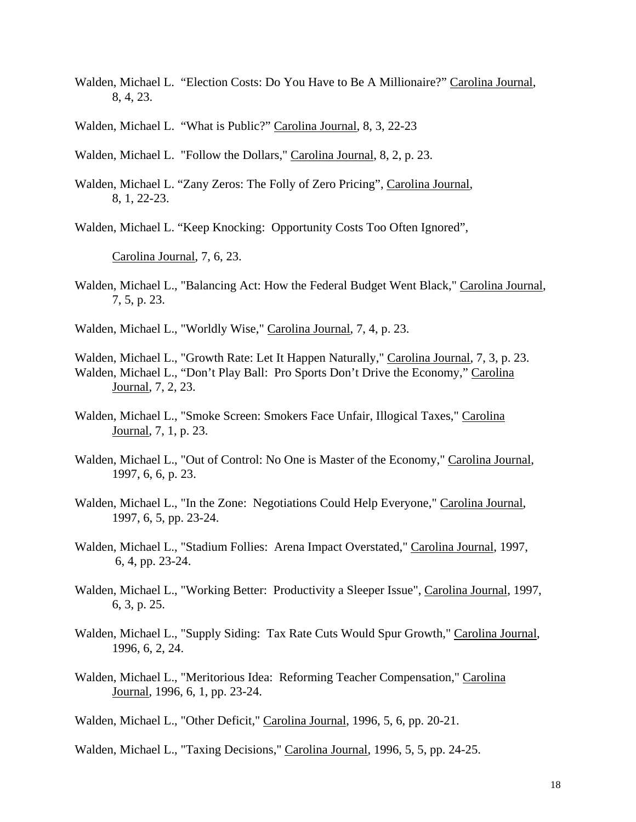- Walden, Michael L. "Election Costs: Do You Have to Be A Millionaire?" Carolina Journal, 8, 4, 23.
- Walden, Michael L. "What is Public?" Carolina Journal, 8, 3, 22-23
- Walden, Michael L. "Follow the Dollars," Carolina Journal, 8, 2, p. 23.
- Walden, Michael L. "Zany Zeros: The Folly of Zero Pricing", Carolina Journal, 8, 1, 22-23.

Walden, Michael L. "Keep Knocking: Opportunity Costs Too Often Ignored",

Carolina Journal, 7, 6, 23.

Walden, Michael L., "Balancing Act: How the Federal Budget Went Black," Carolina Journal, 7, 5, p. 23.

Walden, Michael L., "Worldly Wise," Carolina Journal, 7, 4, p. 23.

Walden, Michael L., "Growth Rate: Let It Happen Naturally," Carolina Journal, 7, 3, p. 23. Walden, Michael L., "Don't Play Ball: Pro Sports Don't Drive the Economy," Carolina Journal, 7, 2, 23.

- Walden, Michael L., "Smoke Screen: Smokers Face Unfair, Illogical Taxes," Carolina Journal, 7, 1, p. 23.
- Walden, Michael L., "Out of Control: No One is Master of the Economy," Carolina Journal, 1997, 6, 6, p. 23.
- Walden, Michael L., "In the Zone: Negotiations Could Help Everyone," Carolina Journal, 1997, 6, 5, pp. 23-24.
- Walden, Michael L., "Stadium Follies: Arena Impact Overstated," Carolina Journal, 1997, 6, 4, pp. 23-24.
- Walden, Michael L., "Working Better: Productivity a Sleeper Issue", Carolina Journal, 1997, 6, 3, p. 25.
- Walden, Michael L., "Supply Siding: Tax Rate Cuts Would Spur Growth," Carolina Journal, 1996, 6, 2, 24.
- Walden, Michael L., "Meritorious Idea: Reforming Teacher Compensation," Carolina Journal, 1996, 6, 1, pp. 23-24.

Walden, Michael L., "Other Deficit," Carolina Journal, 1996, 5, 6, pp. 20-21.

Walden, Michael L., "Taxing Decisions," Carolina Journal, 1996, 5, 5, pp. 24-25.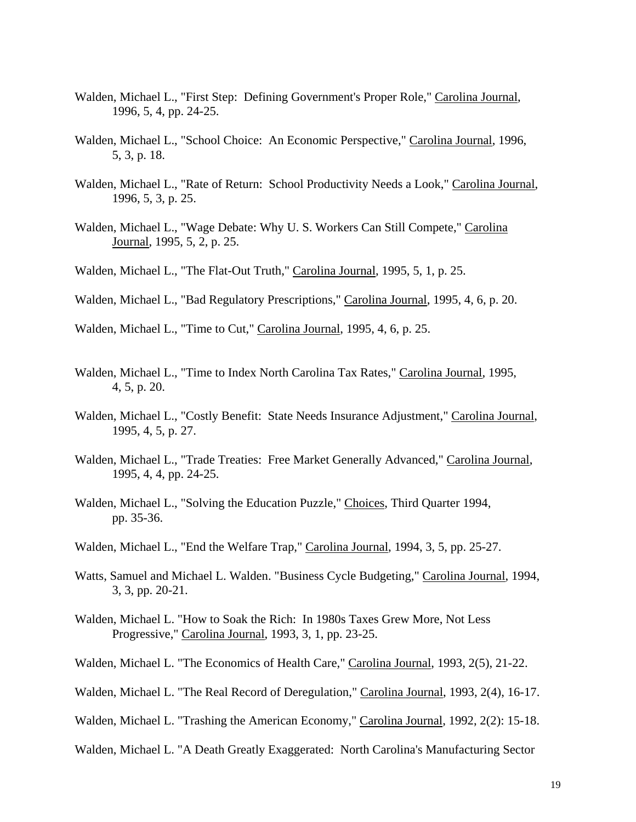- Walden, Michael L., "First Step: Defining Government's Proper Role," Carolina Journal, 1996, 5, 4, pp. 24-25.
- Walden, Michael L., "School Choice: An Economic Perspective," Carolina Journal, 1996, 5, 3, p. 18.
- Walden, Michael L., "Rate of Return: School Productivity Needs a Look," Carolina Journal, 1996, 5, 3, p. 25.
- Walden, Michael L., "Wage Debate: Why U. S. Workers Can Still Compete," Carolina Journal, 1995, 5, 2, p. 25.
- Walden, Michael L., "The Flat-Out Truth," Carolina Journal, 1995, 5, 1, p. 25.
- Walden, Michael L., "Bad Regulatory Prescriptions," Carolina Journal, 1995, 4, 6, p. 20.
- Walden, Michael L., "Time to Cut," Carolina Journal, 1995, 4, 6, p. 25.
- Walden, Michael L., "Time to Index North Carolina Tax Rates," Carolina Journal, 1995, 4, 5, p. 20.
- Walden, Michael L., "Costly Benefit: State Needs Insurance Adjustment," Carolina Journal, 1995, 4, 5, p. 27.
- Walden, Michael L., "Trade Treaties: Free Market Generally Advanced," Carolina Journal, 1995, 4, 4, pp. 24-25.
- Walden, Michael L., "Solving the Education Puzzle," Choices, Third Quarter 1994, pp. 35-36.
- Walden, Michael L., "End the Welfare Trap," Carolina Journal, 1994, 3, 5, pp. 25-27.
- Watts, Samuel and Michael L. Walden. "Business Cycle Budgeting," Carolina Journal, 1994, 3, 3, pp. 20-21.
- Walden, Michael L. "How to Soak the Rich: In 1980s Taxes Grew More, Not Less Progressive," Carolina Journal, 1993, 3, 1, pp. 23-25.
- Walden, Michael L. "The Economics of Health Care," Carolina Journal, 1993, 2(5), 21-22.
- Walden, Michael L. "The Real Record of Deregulation," Carolina Journal, 1993, 2(4), 16-17.
- Walden, Michael L. "Trashing the American Economy," Carolina Journal, 1992, 2(2): 15-18.
- Walden, Michael L. "A Death Greatly Exaggerated: North Carolina's Manufacturing Sector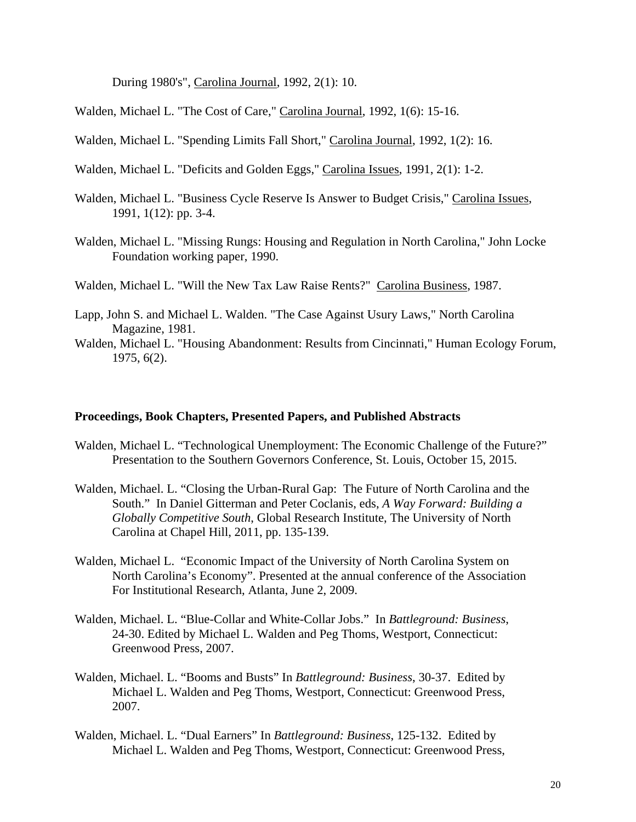During 1980's", Carolina Journal, 1992, 2(1): 10.

Walden, Michael L. "The Cost of Care," Carolina Journal, 1992, 1(6): 15-16.

Walden, Michael L. "Spending Limits Fall Short," Carolina Journal, 1992, 1(2): 16.

- Walden, Michael L. "Deficits and Golden Eggs," Carolina Issues, 1991, 2(1): 1-2.
- Walden, Michael L. "Business Cycle Reserve Is Answer to Budget Crisis," Carolina Issues, 1991, 1(12): pp. 3-4.
- Walden, Michael L. "Missing Rungs: Housing and Regulation in North Carolina," John Locke Foundation working paper, 1990.

Walden, Michael L. "Will the New Tax Law Raise Rents?" Carolina Business, 1987.

- Lapp, John S. and Michael L. Walden. "The Case Against Usury Laws," North Carolina Magazine, 1981.
- Walden, Michael L. "Housing Abandonment: Results from Cincinnati," Human Ecology Forum, 1975, 6(2).

#### **Proceedings, Book Chapters, Presented Papers, and Published Abstracts**

- Walden, Michael L. "Technological Unemployment: The Economic Challenge of the Future?" Presentation to the Southern Governors Conference, St. Louis, October 15, 2015.
- Walden, Michael. L. "Closing the Urban-Rural Gap: The Future of North Carolina and the South." In Daniel Gitterman and Peter Coclanis, eds, *A Way Forward: Building a Globally Competitive South*, Global Research Institute, The University of North Carolina at Chapel Hill, 2011, pp. 135-139.
- Walden, Michael L. "Economic Impact of the University of North Carolina System on North Carolina's Economy". Presented at the annual conference of the Association For Institutional Research, Atlanta, June 2, 2009.
- Walden, Michael. L. "Blue-Collar and White-Collar Jobs." In *Battleground: Business*, 24-30. Edited by Michael L. Walden and Peg Thoms, Westport, Connecticut: Greenwood Press, 2007.
- Walden, Michael. L. "Booms and Busts" In *Battleground: Business*, 30-37. Edited by Michael L. Walden and Peg Thoms, Westport, Connecticut: Greenwood Press, 2007.
- Walden, Michael. L. "Dual Earners" In *Battleground: Business*, 125-132. Edited by Michael L. Walden and Peg Thoms, Westport, Connecticut: Greenwood Press,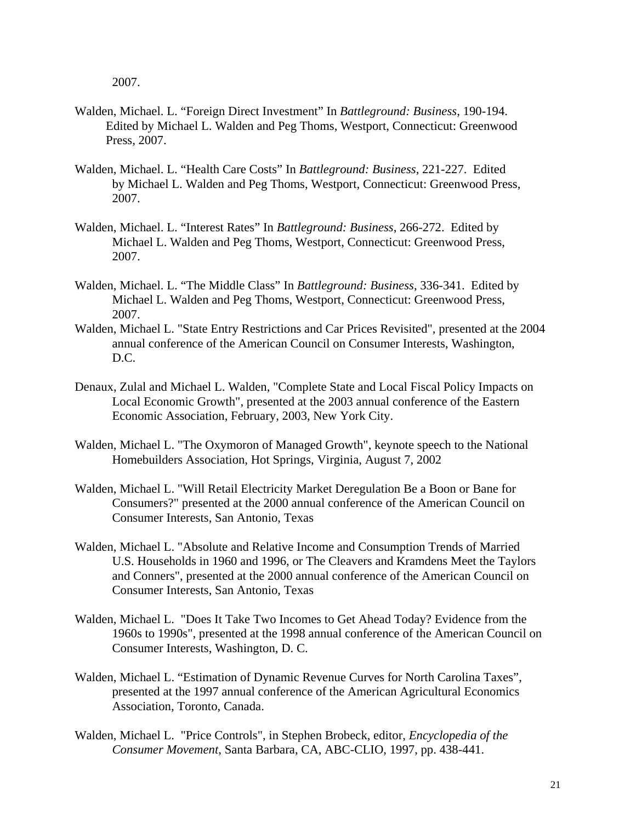2007.

- Walden, Michael. L. "Foreign Direct Investment" In *Battleground: Business*, 190-194. Edited by Michael L. Walden and Peg Thoms, Westport, Connecticut: Greenwood Press, 2007.
- Walden, Michael. L. "Health Care Costs" In *Battleground: Business*, 221-227. Edited by Michael L. Walden and Peg Thoms, Westport, Connecticut: Greenwood Press, 2007.
- Walden, Michael. L. "Interest Rates" In *Battleground: Business*, 266-272. Edited by Michael L. Walden and Peg Thoms, Westport, Connecticut: Greenwood Press, 2007.
- Walden, Michael. L. "The Middle Class" In *Battleground: Business*, 336-341. Edited by Michael L. Walden and Peg Thoms, Westport, Connecticut: Greenwood Press, 2007.
- Walden, Michael L. "State Entry Restrictions and Car Prices Revisited", presented at the 2004 annual conference of the American Council on Consumer Interests, Washington, D.C.
- Denaux, Zulal and Michael L. Walden, "Complete State and Local Fiscal Policy Impacts on Local Economic Growth", presented at the 2003 annual conference of the Eastern Economic Association, February, 2003, New York City.
- Walden, Michael L. "The Oxymoron of Managed Growth", keynote speech to the National Homebuilders Association, Hot Springs, Virginia, August 7, 2002
- Walden, Michael L. "Will Retail Electricity Market Deregulation Be a Boon or Bane for Consumers?" presented at the 2000 annual conference of the American Council on Consumer Interests, San Antonio, Texas
- Walden, Michael L. "Absolute and Relative Income and Consumption Trends of Married U.S. Households in 1960 and 1996, or The Cleavers and Kramdens Meet the Taylors and Conners", presented at the 2000 annual conference of the American Council on Consumer Interests, San Antonio, Texas
- Walden, Michael L. "Does It Take Two Incomes to Get Ahead Today? Evidence from the 1960s to 1990s", presented at the 1998 annual conference of the American Council on Consumer Interests, Washington, D. C.
- Walden, Michael L. "Estimation of Dynamic Revenue Curves for North Carolina Taxes", presented at the 1997 annual conference of the American Agricultural Economics Association, Toronto, Canada.
- Walden, Michael L. "Price Controls", in Stephen Brobeck, editor, *Encyclopedia of the Consumer Movement*, Santa Barbara, CA, ABC-CLIO, 1997, pp. 438-441.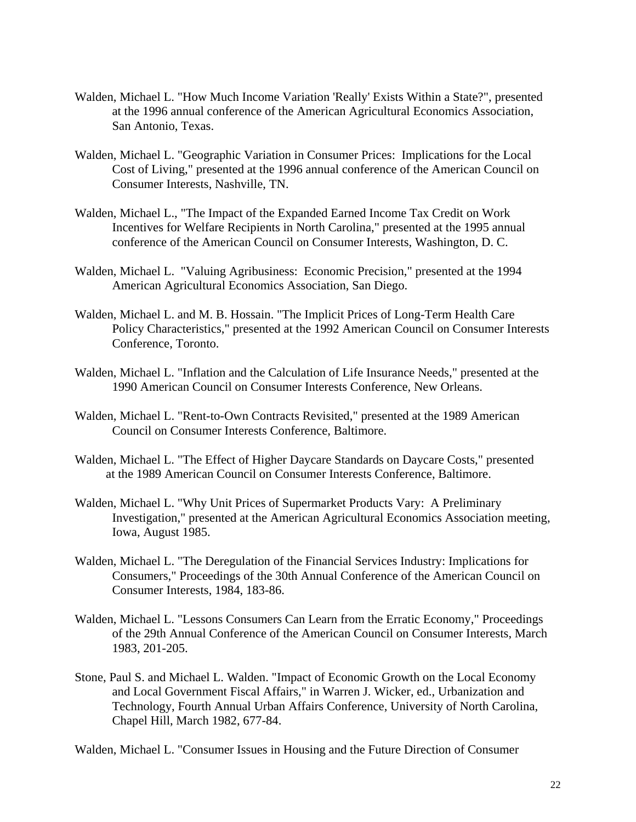- Walden, Michael L. "How Much Income Variation 'Really' Exists Within a State?", presented at the 1996 annual conference of the American Agricultural Economics Association, San Antonio, Texas.
- Walden, Michael L. "Geographic Variation in Consumer Prices: Implications for the Local Cost of Living," presented at the 1996 annual conference of the American Council on Consumer Interests, Nashville, TN.
- Walden, Michael L., "The Impact of the Expanded Earned Income Tax Credit on Work Incentives for Welfare Recipients in North Carolina," presented at the 1995 annual conference of the American Council on Consumer Interests, Washington, D. C.
- Walden, Michael L. "Valuing Agribusiness: Economic Precision," presented at the 1994 American Agricultural Economics Association, San Diego.
- Walden, Michael L. and M. B. Hossain. "The Implicit Prices of Long-Term Health Care Policy Characteristics," presented at the 1992 American Council on Consumer Interests Conference, Toronto.
- Walden, Michael L. "Inflation and the Calculation of Life Insurance Needs," presented at the 1990 American Council on Consumer Interests Conference, New Orleans.
- Walden, Michael L. "Rent-to-Own Contracts Revisited," presented at the 1989 American Council on Consumer Interests Conference, Baltimore.
- Walden, Michael L. "The Effect of Higher Daycare Standards on Daycare Costs," presented at the 1989 American Council on Consumer Interests Conference, Baltimore.
- Walden, Michael L. "Why Unit Prices of Supermarket Products Vary: A Preliminary Investigation," presented at the American Agricultural Economics Association meeting, Iowa, August 1985.
- Walden, Michael L. "The Deregulation of the Financial Services Industry: Implications for Consumers," Proceedings of the 30th Annual Conference of the American Council on Consumer Interests, 1984, 183-86.
- Walden, Michael L. "Lessons Consumers Can Learn from the Erratic Economy," Proceedings of the 29th Annual Conference of the American Council on Consumer Interests, March 1983, 201-205.
- Stone, Paul S. and Michael L. Walden. "Impact of Economic Growth on the Local Economy and Local Government Fiscal Affairs," in Warren J. Wicker, ed., Urbanization and Technology, Fourth Annual Urban Affairs Conference, University of North Carolina, Chapel Hill, March 1982, 677-84.

Walden, Michael L. "Consumer Issues in Housing and the Future Direction of Consumer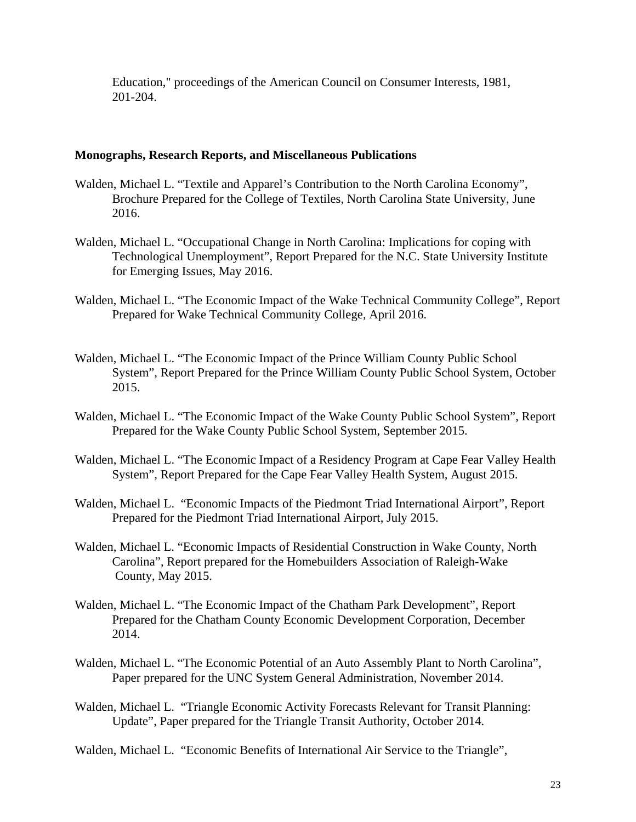Education," proceedings of the American Council on Consumer Interests, 1981, 201-204.

### **Monographs, Research Reports, and Miscellaneous Publications**

- Walden, Michael L. "Textile and Apparel's Contribution to the North Carolina Economy", Brochure Prepared for the College of Textiles, North Carolina State University, June 2016.
- Walden, Michael L. "Occupational Change in North Carolina: Implications for coping with Technological Unemployment", Report Prepared for the N.C. State University Institute for Emerging Issues, May 2016.
- Walden, Michael L. "The Economic Impact of the Wake Technical Community College", Report Prepared for Wake Technical Community College, April 2016.
- Walden, Michael L. "The Economic Impact of the Prince William County Public School System", Report Prepared for the Prince William County Public School System, October 2015.
- Walden, Michael L. "The Economic Impact of the Wake County Public School System", Report Prepared for the Wake County Public School System, September 2015.
- Walden, Michael L. "The Economic Impact of a Residency Program at Cape Fear Valley Health System", Report Prepared for the Cape Fear Valley Health System, August 2015.
- Walden, Michael L. "Economic Impacts of the Piedmont Triad International Airport", Report Prepared for the Piedmont Triad International Airport, July 2015.
- Walden, Michael L. "Economic Impacts of Residential Construction in Wake County, North Carolina", Report prepared for the Homebuilders Association of Raleigh-Wake County, May 2015.
- Walden, Michael L. "The Economic Impact of the Chatham Park Development", Report Prepared for the Chatham County Economic Development Corporation, December 2014.
- Walden, Michael L. "The Economic Potential of an Auto Assembly Plant to North Carolina", Paper prepared for the UNC System General Administration, November 2014.
- Walden, Michael L. "Triangle Economic Activity Forecasts Relevant for Transit Planning: Update", Paper prepared for the Triangle Transit Authority, October 2014.

Walden, Michael L. "Economic Benefits of International Air Service to the Triangle",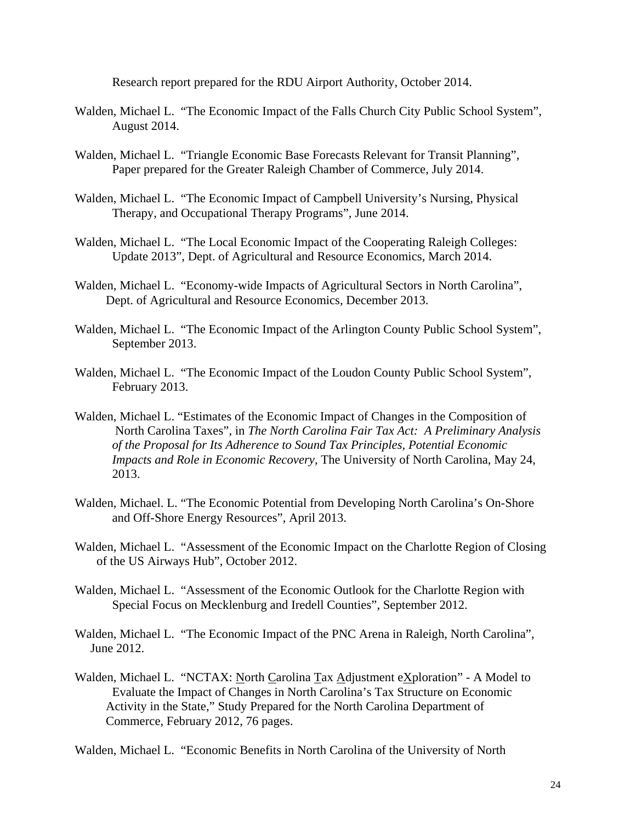Research report prepared for the RDU Airport Authority, October 2014.

- Walden, Michael L. "The Economic Impact of the Falls Church City Public School System", August 2014.
- Walden, Michael L. "Triangle Economic Base Forecasts Relevant for Transit Planning", Paper prepared for the Greater Raleigh Chamber of Commerce, July 2014.
- Walden, Michael L. "The Economic Impact of Campbell University's Nursing, Physical Therapy, and Occupational Therapy Programs", June 2014.
- Walden, Michael L. "The Local Economic Impact of the Cooperating Raleigh Colleges: Update 2013", Dept. of Agricultural and Resource Economics, March 2014.
- Walden, Michael L. "Economy-wide Impacts of Agricultural Sectors in North Carolina", Dept. of Agricultural and Resource Economics, December 2013.
- Walden, Michael L. "The Economic Impact of the Arlington County Public School System", September 2013.
- Walden, Michael L. "The Economic Impact of the Loudon County Public School System", February 2013.
- Walden, Michael L. "Estimates of the Economic Impact of Changes in the Composition of North Carolina Taxes", in *The North Carolina Fair Tax Act: A Preliminary Analysis of the Proposal for Its Adherence to Sound Tax Principles, Potential Economic Impacts and Role in Economic Recovery*, The University of North Carolina, May 24, 2013.
- Walden, Michael. L. "The Economic Potential from Developing North Carolina's On-Shore and Off-Shore Energy Resources", April 2013.
- Walden, Michael L. "Assessment of the Economic Impact on the Charlotte Region of Closing of the US Airways Hub", October 2012.
- Walden, Michael L. "Assessment of the Economic Outlook for the Charlotte Region with Special Focus on Mecklenburg and Iredell Counties", September 2012.
- Walden, Michael L. "The Economic Impact of the PNC Arena in Raleigh, North Carolina", June 2012.
- Walden, Michael L. "NCTAX: North Carolina Tax Adjustment eXploration" A Model to Evaluate the Impact of Changes in North Carolina's Tax Structure on Economic Activity in the State," Study Prepared for the North Carolina Department of Commerce, February 2012, 76 pages.

Walden, Michael L. "Economic Benefits in North Carolina of the University of North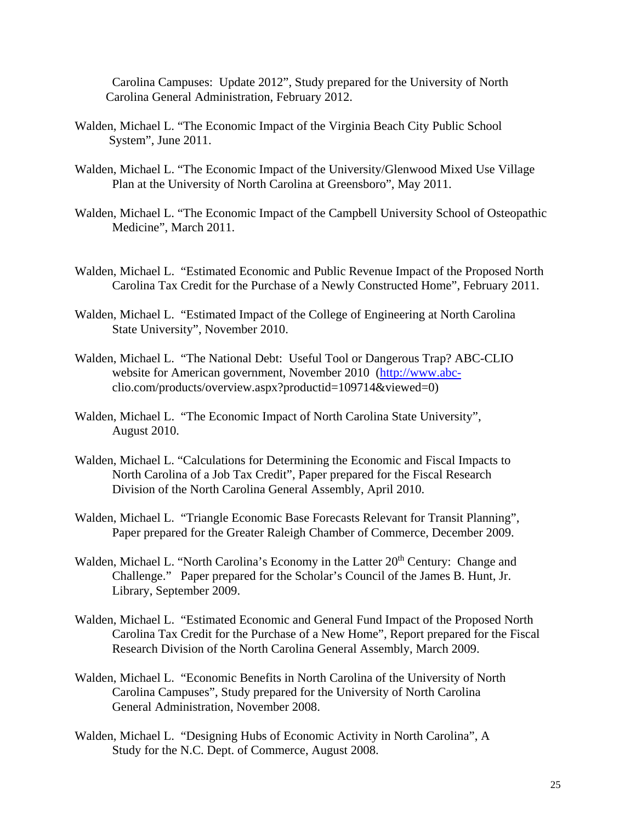Carolina Campuses: Update 2012", Study prepared for the University of North Carolina General Administration, February 2012.

- Walden, Michael L. "The Economic Impact of the Virginia Beach City Public School System", June 2011.
- Walden, Michael L. "The Economic Impact of the University/Glenwood Mixed Use Village Plan at the University of North Carolina at Greensboro", May 2011.
- Walden, Michael L. "The Economic Impact of the Campbell University School of Osteopathic Medicine", March 2011.
- Walden, Michael L. "Estimated Economic and Public Revenue Impact of the Proposed North Carolina Tax Credit for the Purchase of a Newly Constructed Home", February 2011.
- Walden, Michael L. "Estimated Impact of the College of Engineering at North Carolina State University", November 2010.
- Walden, Michael L. "The National Debt: Useful Tool or Dangerous Trap? ABC-CLIO website for American government, November 2010 [\(http://www.abc](http://www.abc-/)clio.com/products/overview.aspx?productid=109714&viewed=0)
- Walden, Michael L. "The Economic Impact of North Carolina State University", August 2010.
- Walden, Michael L. "Calculations for Determining the Economic and Fiscal Impacts to North Carolina of a Job Tax Credit", Paper prepared for the Fiscal Research Division of the North Carolina General Assembly, April 2010.
- Walden, Michael L. "Triangle Economic Base Forecasts Relevant for Transit Planning", Paper prepared for the Greater Raleigh Chamber of Commerce, December 2009.
- Walden, Michael L. "North Carolina's Economy in the Latter 20<sup>th</sup> Century: Change and Challenge." Paper prepared for the Scholar's Council of the James B. Hunt, Jr. Library, September 2009.
- Walden, Michael L. "Estimated Economic and General Fund Impact of the Proposed North Carolina Tax Credit for the Purchase of a New Home", Report prepared for the Fiscal Research Division of the North Carolina General Assembly, March 2009.
- Walden, Michael L. "Economic Benefits in North Carolina of the University of North Carolina Campuses", Study prepared for the University of North Carolina General Administration, November 2008.
- Walden, Michael L. "Designing Hubs of Economic Activity in North Carolina", A Study for the N.C. Dept. of Commerce, August 2008.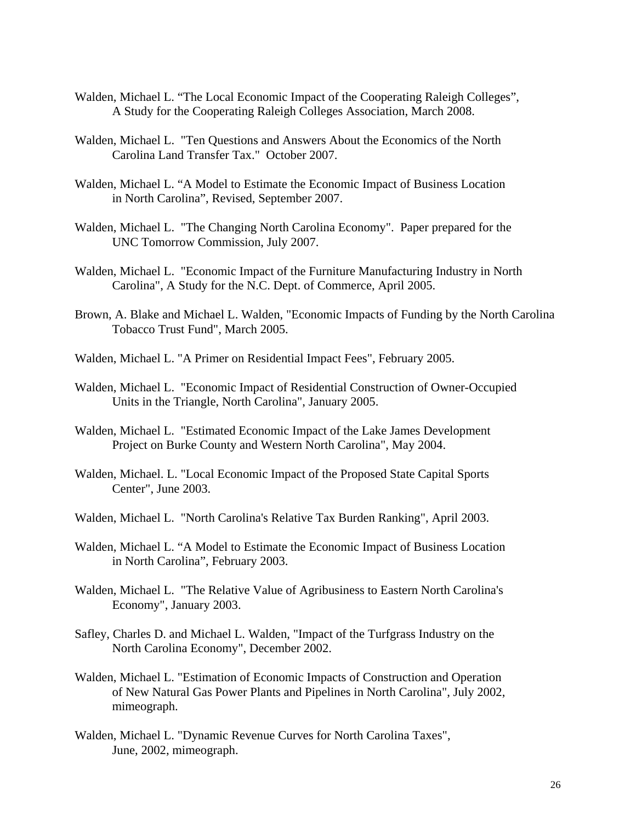- Walden, Michael L. "The Local Economic Impact of the Cooperating Raleigh Colleges", A Study for the Cooperating Raleigh Colleges Association, March 2008.
- Walden, Michael L. "Ten Questions and Answers About the Economics of the North Carolina Land Transfer Tax." October 2007.
- Walden, Michael L. "A Model to Estimate the Economic Impact of Business Location in North Carolina", Revised, September 2007.
- Walden, Michael L. "The Changing North Carolina Economy". Paper prepared for the UNC Tomorrow Commission, July 2007.
- Walden, Michael L. "Economic Impact of the Furniture Manufacturing Industry in North Carolina", A Study for the N.C. Dept. of Commerce, April 2005.
- Brown, A. Blake and Michael L. Walden, "Economic Impacts of Funding by the North Carolina Tobacco Trust Fund", March 2005.
- Walden, Michael L. "A Primer on Residential Impact Fees", February 2005.
- Walden, Michael L. "Economic Impact of Residential Construction of Owner-Occupied Units in the Triangle, North Carolina", January 2005.
- Walden, Michael L. "Estimated Economic Impact of the Lake James Development Project on Burke County and Western North Carolina", May 2004.
- Walden, Michael. L. "Local Economic Impact of the Proposed State Capital Sports Center", June 2003.
- Walden, Michael L. "North Carolina's Relative Tax Burden Ranking", April 2003.
- Walden, Michael L. "A Model to Estimate the Economic Impact of Business Location in North Carolina", February 2003.
- Walden, Michael L. "The Relative Value of Agribusiness to Eastern North Carolina's Economy", January 2003.
- Safley, Charles D. and Michael L. Walden, "Impact of the Turfgrass Industry on the North Carolina Economy", December 2002.
- Walden, Michael L. "Estimation of Economic Impacts of Construction and Operation of New Natural Gas Power Plants and Pipelines in North Carolina", July 2002, mimeograph.
- Walden, Michael L. "Dynamic Revenue Curves for North Carolina Taxes", June, 2002, mimeograph.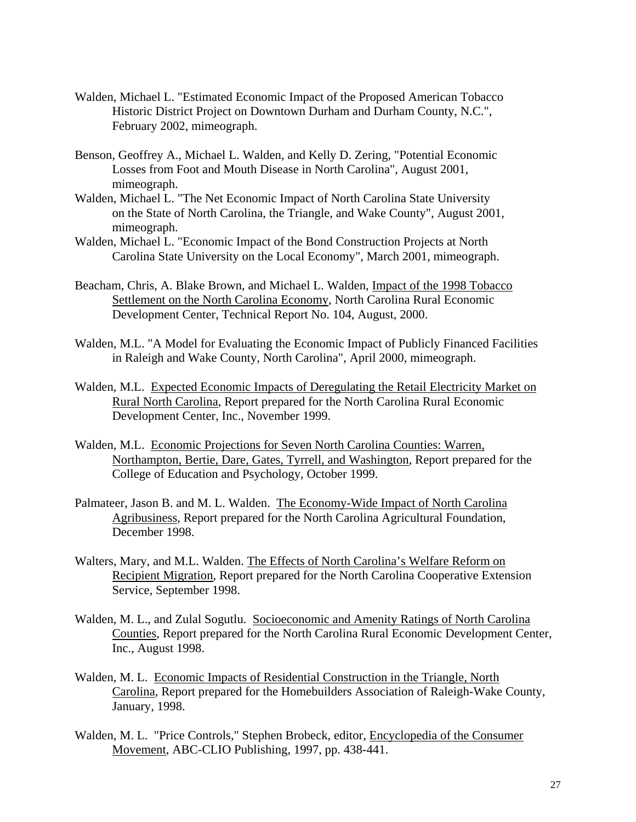- Walden, Michael L. "Estimated Economic Impact of the Proposed American Tobacco Historic District Project on Downtown Durham and Durham County, N.C.", February 2002, mimeograph.
- Benson, Geoffrey A., Michael L. Walden, and Kelly D. Zering, "Potential Economic Losses from Foot and Mouth Disease in North Carolina", August 2001, mimeograph.
- Walden, Michael L. "The Net Economic Impact of North Carolina State University on the State of North Carolina, the Triangle, and Wake County", August 2001, mimeograph.
- Walden, Michael L. "Economic Impact of the Bond Construction Projects at North Carolina State University on the Local Economy", March 2001, mimeograph.
- Beacham, Chris, A. Blake Brown, and Michael L. Walden, Impact of the 1998 Tobacco Settlement on the North Carolina Economy, North Carolina Rural Economic Development Center, Technical Report No. 104, August, 2000.
- Walden, M.L. "A Model for Evaluating the Economic Impact of Publicly Financed Facilities in Raleigh and Wake County, North Carolina", April 2000, mimeograph.
- Walden, M.L. Expected Economic Impacts of Deregulating the Retail Electricity Market on Rural North Carolina, Report prepared for the North Carolina Rural Economic Development Center, Inc., November 1999.
- Walden, M.L. Economic Projections for Seven North Carolina Counties: Warren, Northampton, Bertie, Dare, Gates, Tyrrell, and Washington, Report prepared for the College of Education and Psychology, October 1999.
- Palmateer, Jason B. and M. L. Walden. The Economy-Wide Impact of North Carolina Agribusiness, Report prepared for the North Carolina Agricultural Foundation, December 1998.
- Walters, Mary, and M.L. Walden. The Effects of North Carolina's Welfare Reform on Recipient Migration, Report prepared for the North Carolina Cooperative Extension Service, September 1998.
- Walden, M. L., and Zulal Sogutlu. Socioeconomic and Amenity Ratings of North Carolina Counties, Report prepared for the North Carolina Rural Economic Development Center, Inc., August 1998.
- Walden, M. L. Economic Impacts of Residential Construction in the Triangle, North Carolina, Report prepared for the Homebuilders Association of Raleigh-Wake County, January, 1998.
- Walden, M. L. "Price Controls," Stephen Brobeck, editor, Encyclopedia of the Consumer Movement, ABC-CLIO Publishing, 1997, pp. 438-441.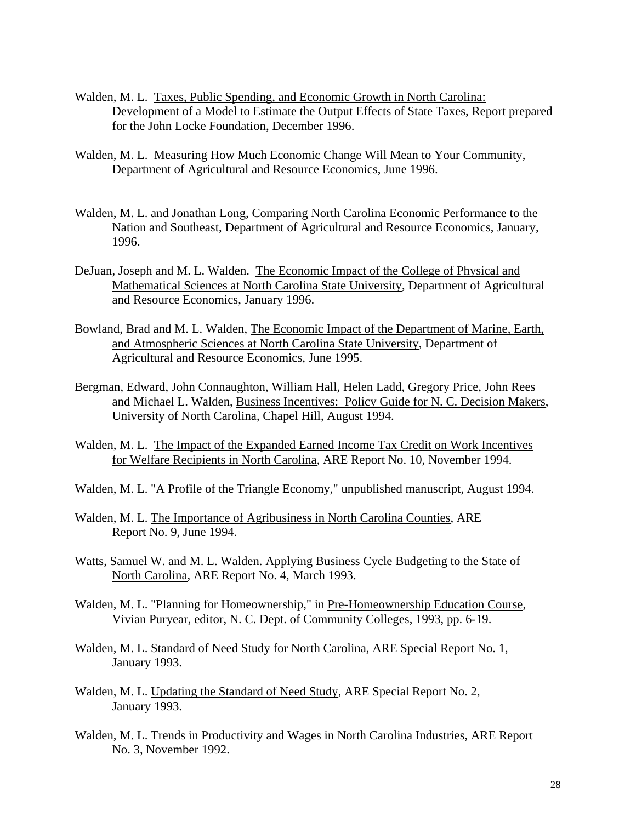- Walden, M. L. Taxes, Public Spending, and Economic Growth in North Carolina: Development of a Model to Estimate the Output Effects of State Taxes, Report prepared for the John Locke Foundation, December 1996.
- Walden, M. L. Measuring How Much Economic Change Will Mean to Your Community, Department of Agricultural and Resource Economics, June 1996.
- Walden, M. L. and Jonathan Long, Comparing North Carolina Economic Performance to the Nation and Southeast, Department of Agricultural and Resource Economics, January, 1996.
- DeJuan, Joseph and M. L. Walden. The Economic Impact of the College of Physical and Mathematical Sciences at North Carolina State University, Department of Agricultural and Resource Economics, January 1996.
- Bowland, Brad and M. L. Walden, The Economic Impact of the Department of Marine, Earth, and Atmospheric Sciences at North Carolina State University, Department of Agricultural and Resource Economics, June 1995.
- Bergman, Edward, John Connaughton, William Hall, Helen Ladd, Gregory Price, John Rees and Michael L. Walden, Business Incentives: Policy Guide for N. C. Decision Makers, University of North Carolina, Chapel Hill, August 1994.
- Walden, M. L. The Impact of the Expanded Earned Income Tax Credit on Work Incentives for Welfare Recipients in North Carolina, ARE Report No. 10, November 1994.
- Walden, M. L. "A Profile of the Triangle Economy," unpublished manuscript, August 1994.
- Walden, M. L. The Importance of Agribusiness in North Carolina Counties, ARE Report No. 9, June 1994.
- Watts, Samuel W. and M. L. Walden. Applying Business Cycle Budgeting to the State of North Carolina, ARE Report No. 4, March 1993.
- Walden, M. L. "Planning for Homeownership," in Pre-Homeownership Education Course, Vivian Puryear, editor, N. C. Dept. of Community Colleges, 1993, pp. 6-19.
- Walden, M. L. Standard of Need Study for North Carolina, ARE Special Report No. 1, January 1993.
- Walden, M. L. Updating the Standard of Need Study, ARE Special Report No. 2, January 1993.
- Walden, M. L. Trends in Productivity and Wages in North Carolina Industries, ARE Report No. 3, November 1992.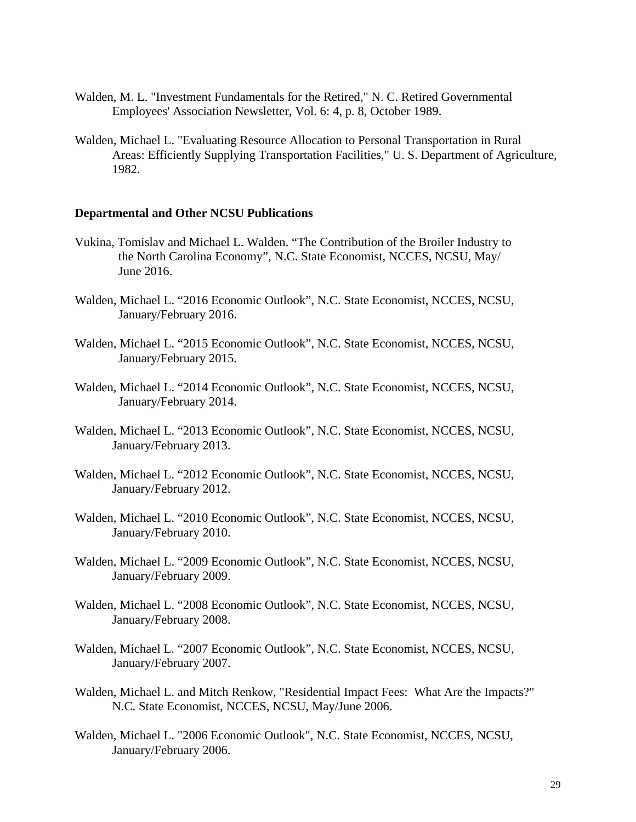- Walden, M. L. "Investment Fundamentals for the Retired," N. C. Retired Governmental Employees' Association Newsletter, Vol. 6: 4, p. 8, October 1989.
- Walden, Michael L. "Evaluating Resource Allocation to Personal Transportation in Rural Areas: Efficiently Supplying Transportation Facilities," U. S. Department of Agriculture, 1982.

#### **Departmental and Other NCSU Publications**

- Vukina, Tomislav and Michael L. Walden. "The Contribution of the Broiler Industry to the North Carolina Economy", N.C. State Economist, NCCES, NCSU, May/ June 2016.
- Walden, Michael L. "2016 Economic Outlook", N.C. State Economist, NCCES, NCSU, January/February 2016.
- Walden, Michael L. "2015 Economic Outlook", N.C. State Economist, NCCES, NCSU, January/February 2015.
- Walden, Michael L. "2014 Economic Outlook", N.C. State Economist, NCCES, NCSU, January/February 2014.
- Walden, Michael L. "2013 Economic Outlook", N.C. State Economist, NCCES, NCSU, January/February 2013.
- Walden, Michael L. "2012 Economic Outlook", N.C. State Economist, NCCES, NCSU, January/February 2012.
- Walden, Michael L. "2010 Economic Outlook", N.C. State Economist, NCCES, NCSU, January/February 2010.
- Walden, Michael L. "2009 Economic Outlook", N.C. State Economist, NCCES, NCSU, January/February 2009.
- Walden, Michael L. "2008 Economic Outlook", N.C. State Economist, NCCES, NCSU, January/February 2008.
- Walden, Michael L. "2007 Economic Outlook", N.C. State Economist, NCCES, NCSU, January/February 2007.
- Walden, Michael L. and Mitch Renkow, "Residential Impact Fees: What Are the Impacts?" N.C. State Economist, NCCES, NCSU, May/June 2006.
- Walden, Michael L. "2006 Economic Outlook", N.C. State Economist, NCCES, NCSU, January/February 2006.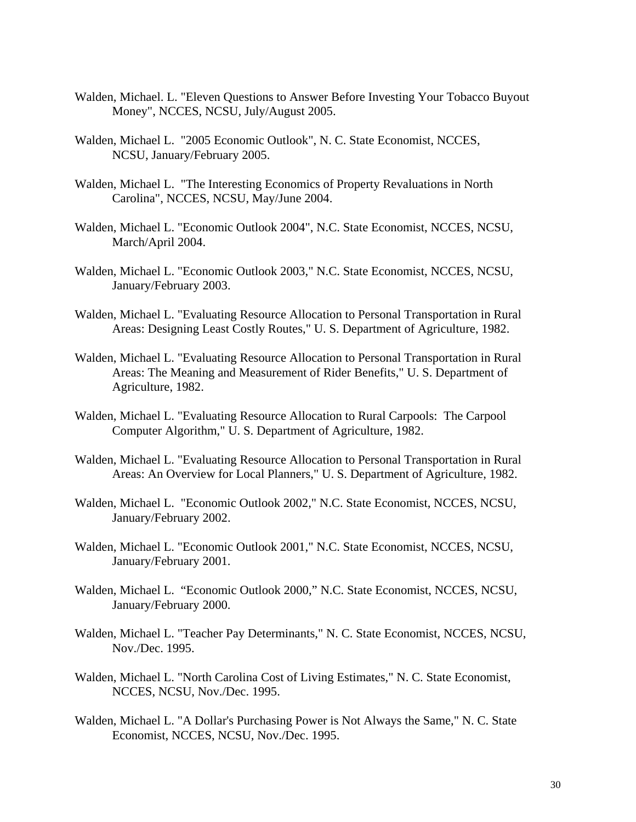- Walden, Michael. L. "Eleven Questions to Answer Before Investing Your Tobacco Buyout Money", NCCES, NCSU, July/August 2005.
- Walden, Michael L. "2005 Economic Outlook", N. C. State Economist, NCCES, NCSU, January/February 2005.
- Walden, Michael L. "The Interesting Economics of Property Revaluations in North Carolina", NCCES, NCSU, May/June 2004.
- Walden, Michael L. "Economic Outlook 2004", N.C. State Economist, NCCES, NCSU, March/April 2004.
- Walden, Michael L. "Economic Outlook 2003," N.C. State Economist, NCCES, NCSU, January/February 2003.
- Walden, Michael L. "Evaluating Resource Allocation to Personal Transportation in Rural Areas: Designing Least Costly Routes," U. S. Department of Agriculture, 1982.
- Walden, Michael L. "Evaluating Resource Allocation to Personal Transportation in Rural Areas: The Meaning and Measurement of Rider Benefits," U. S. Department of Agriculture, 1982.
- Walden, Michael L. "Evaluating Resource Allocation to Rural Carpools: The Carpool Computer Algorithm," U. S. Department of Agriculture, 1982.
- Walden, Michael L. "Evaluating Resource Allocation to Personal Transportation in Rural Areas: An Overview for Local Planners," U. S. Department of Agriculture, 1982.
- Walden, Michael L. "Economic Outlook 2002," N.C. State Economist, NCCES, NCSU, January/February 2002.
- Walden, Michael L. "Economic Outlook 2001," N.C. State Economist, NCCES, NCSU, January/February 2001.
- Walden, Michael L. "Economic Outlook 2000," N.C. State Economist, NCCES, NCSU, January/February 2000.
- Walden, Michael L. "Teacher Pay Determinants," N. C. State Economist, NCCES, NCSU, Nov./Dec. 1995.
- Walden, Michael L. "North Carolina Cost of Living Estimates," N. C. State Economist, NCCES, NCSU, Nov./Dec. 1995.
- Walden, Michael L. "A Dollar's Purchasing Power is Not Always the Same," N. C. State Economist, NCCES, NCSU, Nov./Dec. 1995.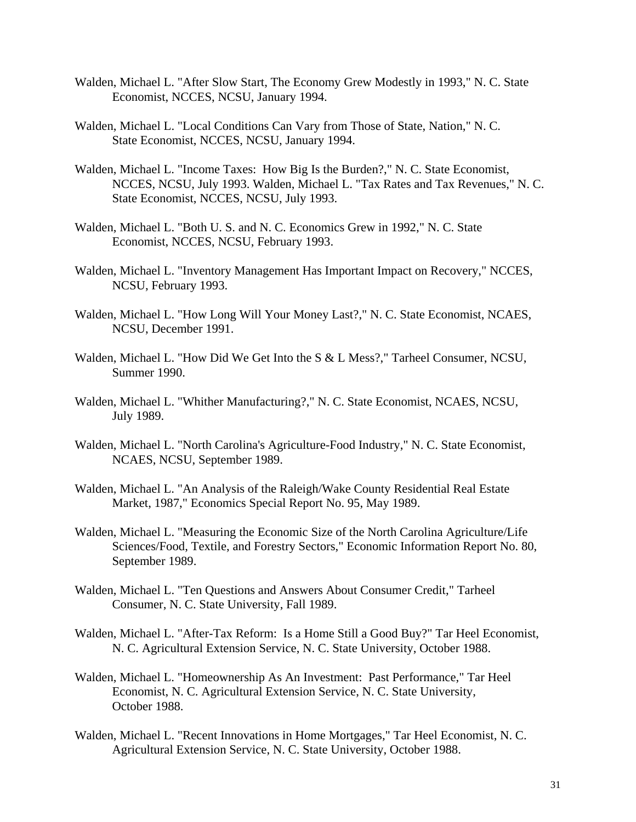- Walden, Michael L. "After Slow Start, The Economy Grew Modestly in 1993," N. C. State Economist, NCCES, NCSU, January 1994.
- Walden, Michael L. "Local Conditions Can Vary from Those of State, Nation," N. C. State Economist, NCCES, NCSU, January 1994.
- Walden, Michael L. "Income Taxes: How Big Is the Burden?," N. C. State Economist, NCCES, NCSU, July 1993. Walden, Michael L. "Tax Rates and Tax Revenues," N. C. State Economist, NCCES, NCSU, July 1993.
- Walden, Michael L. "Both U. S. and N. C. Economics Grew in 1992," N. C. State Economist, NCCES, NCSU, February 1993.
- Walden, Michael L. "Inventory Management Has Important Impact on Recovery," NCCES, NCSU, February 1993.
- Walden, Michael L. "How Long Will Your Money Last?," N. C. State Economist, NCAES, NCSU, December 1991.
- Walden, Michael L. "How Did We Get Into the S & L Mess?," Tarheel Consumer, NCSU, Summer 1990.
- Walden, Michael L. "Whither Manufacturing?," N. C. State Economist, NCAES, NCSU, July 1989.
- Walden, Michael L. "North Carolina's Agriculture-Food Industry," N. C. State Economist, NCAES, NCSU, September 1989.
- Walden, Michael L. "An Analysis of the Raleigh/Wake County Residential Real Estate Market, 1987," Economics Special Report No. 95, May 1989.
- Walden, Michael L. "Measuring the Economic Size of the North Carolina Agriculture/Life Sciences/Food, Textile, and Forestry Sectors," Economic Information Report No. 80, September 1989.
- Walden, Michael L. "Ten Questions and Answers About Consumer Credit," Tarheel Consumer, N. C. State University, Fall 1989.
- Walden, Michael L. "After-Tax Reform: Is a Home Still a Good Buy?" Tar Heel Economist, N. C. Agricultural Extension Service, N. C. State University, October 1988.
- Walden, Michael L. "Homeownership As An Investment: Past Performance," Tar Heel Economist, N. C. Agricultural Extension Service, N. C. State University, October 1988.
- Walden, Michael L. "Recent Innovations in Home Mortgages," Tar Heel Economist, N. C. Agricultural Extension Service, N. C. State University, October 1988.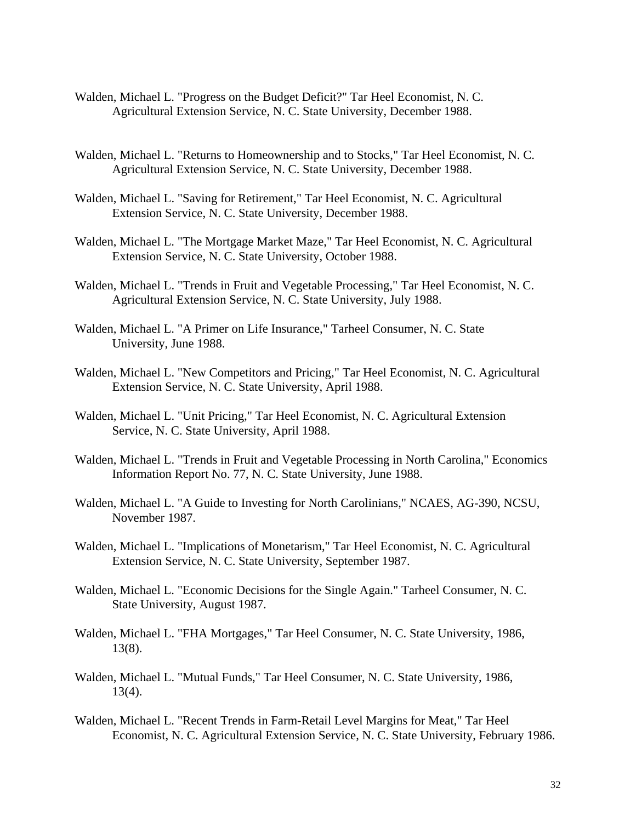- Walden, Michael L. "Progress on the Budget Deficit?" Tar Heel Economist, N. C. Agricultural Extension Service, N. C. State University, December 1988.
- Walden, Michael L. "Returns to Homeownership and to Stocks," Tar Heel Economist, N. C. Agricultural Extension Service, N. C. State University, December 1988.
- Walden, Michael L. "Saving for Retirement," Tar Heel Economist, N. C. Agricultural Extension Service, N. C. State University, December 1988.
- Walden, Michael L. "The Mortgage Market Maze," Tar Heel Economist, N. C. Agricultural Extension Service, N. C. State University, October 1988.
- Walden, Michael L. "Trends in Fruit and Vegetable Processing," Tar Heel Economist, N. C. Agricultural Extension Service, N. C. State University, July 1988.
- Walden, Michael L. "A Primer on Life Insurance," Tarheel Consumer, N. C. State University, June 1988.
- Walden, Michael L. "New Competitors and Pricing," Tar Heel Economist, N. C. Agricultural Extension Service, N. C. State University, April 1988.
- Walden, Michael L. "Unit Pricing," Tar Heel Economist, N. C. Agricultural Extension Service, N. C. State University, April 1988.
- Walden, Michael L. "Trends in Fruit and Vegetable Processing in North Carolina," Economics Information Report No. 77, N. C. State University, June 1988.
- Walden, Michael L. "A Guide to Investing for North Carolinians," NCAES, AG-390, NCSU, November 1987.
- Walden, Michael L. "Implications of Monetarism," Tar Heel Economist, N. C. Agricultural Extension Service, N. C. State University, September 1987.
- Walden, Michael L. "Economic Decisions for the Single Again." Tarheel Consumer, N. C. State University, August 1987.
- Walden, Michael L. "FHA Mortgages," Tar Heel Consumer, N. C. State University, 1986, 13(8).
- Walden, Michael L. "Mutual Funds," Tar Heel Consumer, N. C. State University, 1986, 13(4).
- Walden, Michael L. "Recent Trends in Farm-Retail Level Margins for Meat," Tar Heel Economist, N. C. Agricultural Extension Service, N. C. State University, February 1986.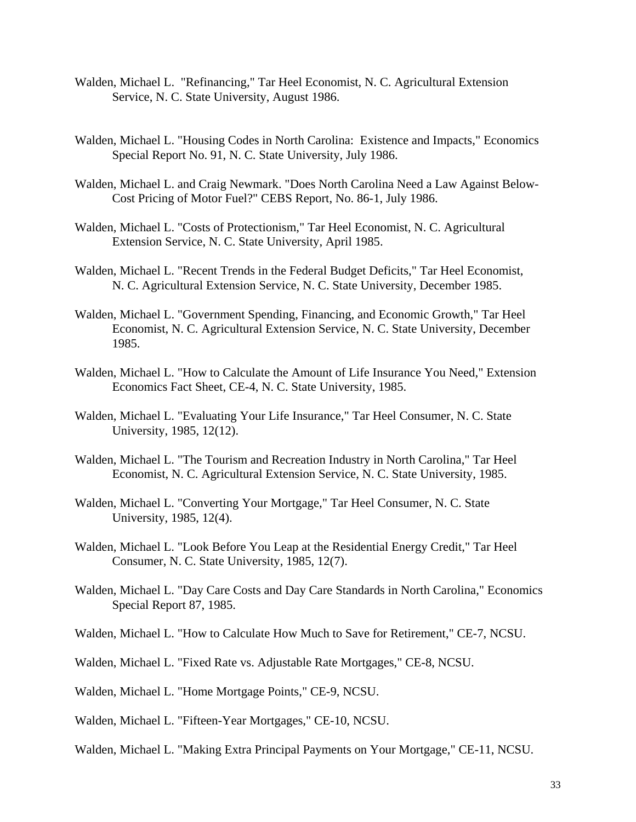- Walden, Michael L. "Refinancing," Tar Heel Economist, N. C. Agricultural Extension Service, N. C. State University, August 1986.
- Walden, Michael L. "Housing Codes in North Carolina: Existence and Impacts," Economics Special Report No. 91, N. C. State University, July 1986.
- Walden, Michael L. and Craig Newmark. "Does North Carolina Need a Law Against Below-Cost Pricing of Motor Fuel?" CEBS Report, No. 86-1, July 1986.
- Walden, Michael L. "Costs of Protectionism," Tar Heel Economist, N. C. Agricultural Extension Service, N. C. State University, April 1985.
- Walden, Michael L. "Recent Trends in the Federal Budget Deficits," Tar Heel Economist, N. C. Agricultural Extension Service, N. C. State University, December 1985.
- Walden, Michael L. "Government Spending, Financing, and Economic Growth," Tar Heel Economist, N. C. Agricultural Extension Service, N. C. State University, December 1985.
- Walden, Michael L. "How to Calculate the Amount of Life Insurance You Need," Extension Economics Fact Sheet, CE-4, N. C. State University, 1985.
- Walden, Michael L. "Evaluating Your Life Insurance," Tar Heel Consumer, N. C. State University, 1985, 12(12).
- Walden, Michael L. "The Tourism and Recreation Industry in North Carolina," Tar Heel Economist, N. C. Agricultural Extension Service, N. C. State University, 1985.
- Walden, Michael L. "Converting Your Mortgage," Tar Heel Consumer, N. C. State University, 1985, 12(4).
- Walden, Michael L. "Look Before You Leap at the Residential Energy Credit," Tar Heel Consumer, N. C. State University, 1985, 12(7).
- Walden, Michael L. "Day Care Costs and Day Care Standards in North Carolina," Economics Special Report 87, 1985.
- Walden, Michael L. "How to Calculate How Much to Save for Retirement," CE-7, NCSU.
- Walden, Michael L. "Fixed Rate vs. Adjustable Rate Mortgages," CE-8, NCSU.
- Walden, Michael L. "Home Mortgage Points," CE-9, NCSU.
- Walden, Michael L. "Fifteen-Year Mortgages," CE-10, NCSU.
- Walden, Michael L. "Making Extra Principal Payments on Your Mortgage," CE-11, NCSU.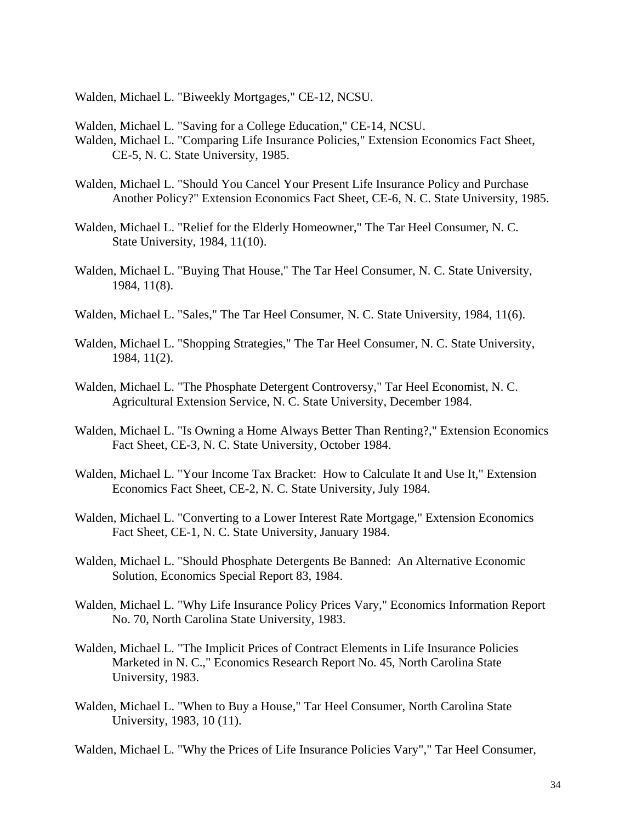Walden, Michael L. "Biweekly Mortgages," CE-12, NCSU.

Walden, Michael L. "Saving for a College Education," CE-14, NCSU.

- Walden, Michael L. "Comparing Life Insurance Policies," Extension Economics Fact Sheet, CE-5, N. C. State University, 1985.
- Walden, Michael L. "Should You Cancel Your Present Life Insurance Policy and Purchase Another Policy?" Extension Economics Fact Sheet, CE-6, N. C. State University, 1985.
- Walden, Michael L. "Relief for the Elderly Homeowner," The Tar Heel Consumer, N. C. State University, 1984, 11(10).
- Walden, Michael L. "Buying That House," The Tar Heel Consumer, N. C. State University, 1984, 11(8).
- Walden, Michael L. "Sales," The Tar Heel Consumer, N. C. State University, 1984, 11(6).
- Walden, Michael L. "Shopping Strategies," The Tar Heel Consumer, N. C. State University, 1984, 11(2).
- Walden, Michael L. "The Phosphate Detergent Controversy," Tar Heel Economist, N. C. Agricultural Extension Service, N. C. State University, December 1984.
- Walden, Michael L. "Is Owning a Home Always Better Than Renting?," Extension Economics Fact Sheet, CE-3, N. C. State University, October 1984.
- Walden, Michael L. "Your Income Tax Bracket: How to Calculate It and Use It," Extension Economics Fact Sheet, CE-2, N. C. State University, July 1984.
- Walden, Michael L. "Converting to a Lower Interest Rate Mortgage," Extension Economics Fact Sheet, CE-1, N. C. State University, January 1984.
- Walden, Michael L. "Should Phosphate Detergents Be Banned: An Alternative Economic Solution, Economics Special Report 83, 1984.
- Walden, Michael L. "Why Life Insurance Policy Prices Vary," Economics Information Report No. 70, North Carolina State University, 1983.
- Walden, Michael L. "The Implicit Prices of Contract Elements in Life Insurance Policies Marketed in N. C.," Economics Research Report No. 45, North Carolina State University, 1983.
- Walden, Michael L. "When to Buy a House," Tar Heel Consumer, North Carolina State University, 1983, 10 (11).

Walden, Michael L. "Why the Prices of Life Insurance Policies Vary"," Tar Heel Consumer,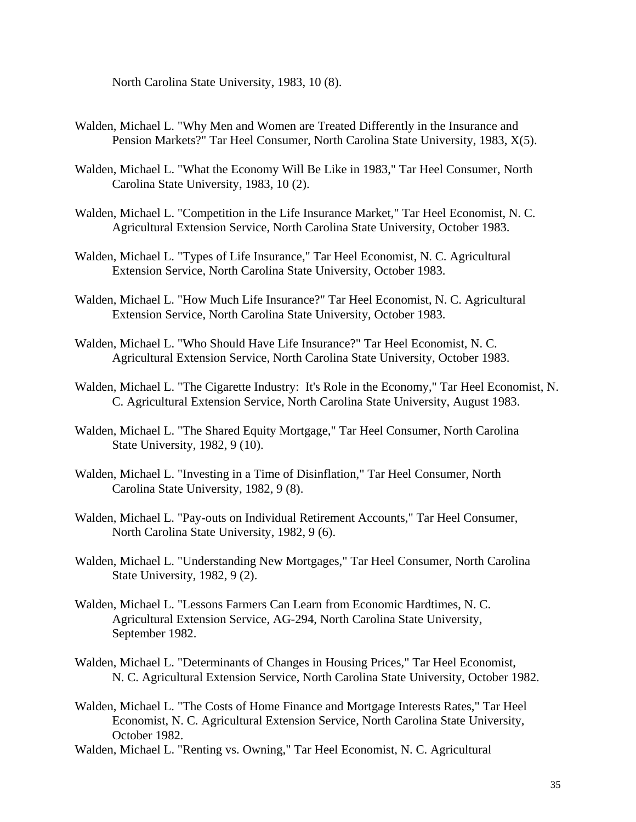North Carolina State University, 1983, 10 (8).

- Walden, Michael L. "Why Men and Women are Treated Differently in the Insurance and Pension Markets?" Tar Heel Consumer, North Carolina State University, 1983, X(5).
- Walden, Michael L. "What the Economy Will Be Like in 1983," Tar Heel Consumer, North Carolina State University, 1983, 10 (2).
- Walden, Michael L. "Competition in the Life Insurance Market," Tar Heel Economist, N. C. Agricultural Extension Service, North Carolina State University, October 1983.
- Walden, Michael L. "Types of Life Insurance," Tar Heel Economist, N. C. Agricultural Extension Service, North Carolina State University, October 1983.
- Walden, Michael L. "How Much Life Insurance?" Tar Heel Economist, N. C. Agricultural Extension Service, North Carolina State University, October 1983.
- Walden, Michael L. "Who Should Have Life Insurance?" Tar Heel Economist, N. C. Agricultural Extension Service, North Carolina State University, October 1983.
- Walden, Michael L. "The Cigarette Industry: It's Role in the Economy," Tar Heel Economist, N. C. Agricultural Extension Service, North Carolina State University, August 1983.
- Walden, Michael L. "The Shared Equity Mortgage," Tar Heel Consumer, North Carolina State University, 1982, 9 (10).
- Walden, Michael L. "Investing in a Time of Disinflation," Tar Heel Consumer, North Carolina State University, 1982, 9 (8).
- Walden, Michael L. "Pay-outs on Individual Retirement Accounts," Tar Heel Consumer, North Carolina State University, 1982, 9 (6).
- Walden, Michael L. "Understanding New Mortgages," Tar Heel Consumer, North Carolina State University, 1982, 9 (2).
- Walden, Michael L. "Lessons Farmers Can Learn from Economic Hardtimes, N. C. Agricultural Extension Service, AG-294, North Carolina State University, September 1982.
- Walden, Michael L. "Determinants of Changes in Housing Prices," Tar Heel Economist, N. C. Agricultural Extension Service, North Carolina State University, October 1982.
- Walden, Michael L. "The Costs of Home Finance and Mortgage Interests Rates," Tar Heel Economist, N. C. Agricultural Extension Service, North Carolina State University, October 1982.
- Walden, Michael L. "Renting vs. Owning," Tar Heel Economist, N. C. Agricultural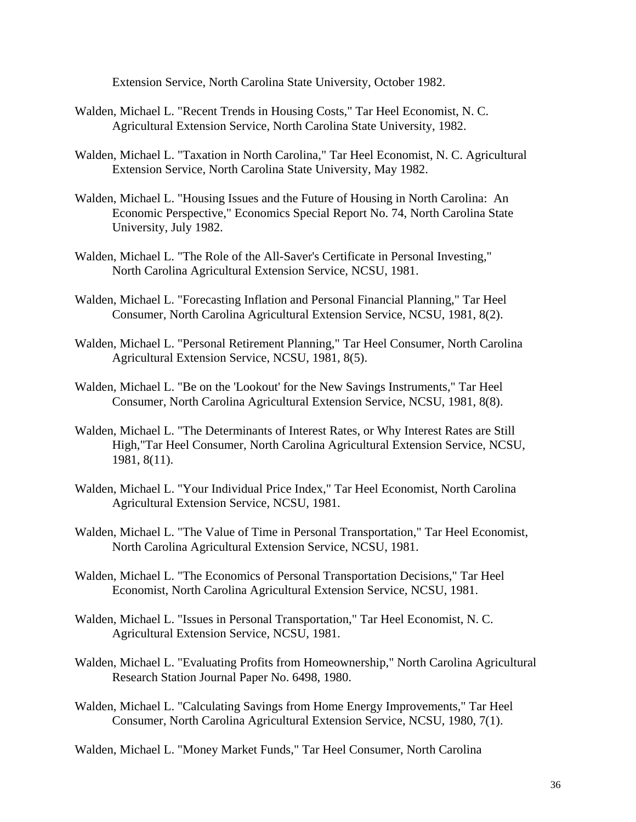Extension Service, North Carolina State University, October 1982.

- Walden, Michael L. "Recent Trends in Housing Costs," Tar Heel Economist, N. C. Agricultural Extension Service, North Carolina State University, 1982.
- Walden, Michael L. "Taxation in North Carolina," Tar Heel Economist, N. C. Agricultural Extension Service, North Carolina State University, May 1982.
- Walden, Michael L. "Housing Issues and the Future of Housing in North Carolina: An Economic Perspective," Economics Special Report No. 74, North Carolina State University, July 1982.
- Walden, Michael L. "The Role of the All-Saver's Certificate in Personal Investing," North Carolina Agricultural Extension Service, NCSU, 1981.
- Walden, Michael L. "Forecasting Inflation and Personal Financial Planning," Tar Heel Consumer, North Carolina Agricultural Extension Service, NCSU, 1981, 8(2).
- Walden, Michael L. "Personal Retirement Planning," Tar Heel Consumer, North Carolina Agricultural Extension Service, NCSU, 1981, 8(5).
- Walden, Michael L. "Be on the 'Lookout' for the New Savings Instruments," Tar Heel Consumer, North Carolina Agricultural Extension Service, NCSU, 1981, 8(8).
- Walden, Michael L. "The Determinants of Interest Rates, or Why Interest Rates are Still High,"Tar Heel Consumer, North Carolina Agricultural Extension Service, NCSU, 1981, 8(11).
- Walden, Michael L. "Your Individual Price Index," Tar Heel Economist, North Carolina Agricultural Extension Service, NCSU, 1981.
- Walden, Michael L. "The Value of Time in Personal Transportation," Tar Heel Economist, North Carolina Agricultural Extension Service, NCSU, 1981.
- Walden, Michael L. "The Economics of Personal Transportation Decisions," Tar Heel Economist, North Carolina Agricultural Extension Service, NCSU, 1981.
- Walden, Michael L. "Issues in Personal Transportation," Tar Heel Economist, N. C. Agricultural Extension Service, NCSU, 1981.
- Walden, Michael L. "Evaluating Profits from Homeownership," North Carolina Agricultural Research Station Journal Paper No. 6498, 1980.
- Walden, Michael L. "Calculating Savings from Home Energy Improvements," Tar Heel Consumer, North Carolina Agricultural Extension Service, NCSU, 1980, 7(1).

Walden, Michael L. "Money Market Funds," Tar Heel Consumer, North Carolina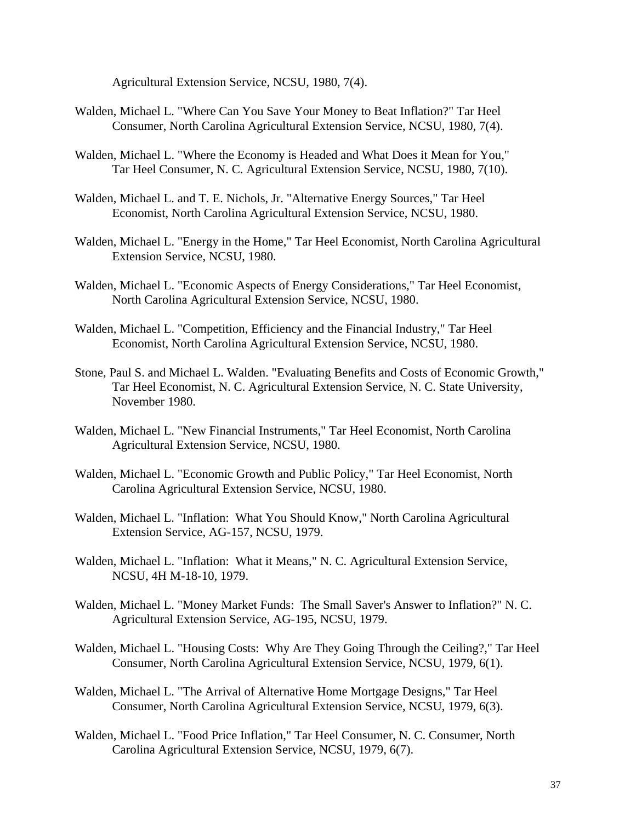Agricultural Extension Service, NCSU, 1980, 7(4).

- Walden, Michael L. "Where Can You Save Your Money to Beat Inflation?" Tar Heel Consumer, North Carolina Agricultural Extension Service, NCSU, 1980, 7(4).
- Walden, Michael L. "Where the Economy is Headed and What Does it Mean for You," Tar Heel Consumer, N. C. Agricultural Extension Service, NCSU, 1980, 7(10).
- Walden, Michael L. and T. E. Nichols, Jr. "Alternative Energy Sources," Tar Heel Economist, North Carolina Agricultural Extension Service, NCSU, 1980.
- Walden, Michael L. "Energy in the Home," Tar Heel Economist, North Carolina Agricultural Extension Service, NCSU, 1980.
- Walden, Michael L. "Economic Aspects of Energy Considerations," Tar Heel Economist, North Carolina Agricultural Extension Service, NCSU, 1980.
- Walden, Michael L. "Competition, Efficiency and the Financial Industry," Tar Heel Economist, North Carolina Agricultural Extension Service, NCSU, 1980.
- Stone, Paul S. and Michael L. Walden. "Evaluating Benefits and Costs of Economic Growth," Tar Heel Economist, N. C. Agricultural Extension Service, N. C. State University, November 1980.
- Walden, Michael L. "New Financial Instruments," Tar Heel Economist, North Carolina Agricultural Extension Service, NCSU, 1980.
- Walden, Michael L. "Economic Growth and Public Policy," Tar Heel Economist, North Carolina Agricultural Extension Service, NCSU, 1980.
- Walden, Michael L. "Inflation: What You Should Know," North Carolina Agricultural Extension Service, AG-157, NCSU, 1979.
- Walden, Michael L. "Inflation: What it Means," N. C. Agricultural Extension Service, NCSU, 4H M-18-10, 1979.
- Walden, Michael L. "Money Market Funds: The Small Saver's Answer to Inflation?" N. C. Agricultural Extension Service, AG-195, NCSU, 1979.
- Walden, Michael L. "Housing Costs: Why Are They Going Through the Ceiling?," Tar Heel Consumer, North Carolina Agricultural Extension Service, NCSU, 1979, 6(1).
- Walden, Michael L. "The Arrival of Alternative Home Mortgage Designs," Tar Heel Consumer, North Carolina Agricultural Extension Service, NCSU, 1979, 6(3).
- Walden, Michael L. "Food Price Inflation," Tar Heel Consumer, N. C. Consumer, North Carolina Agricultural Extension Service, NCSU, 1979, 6(7).